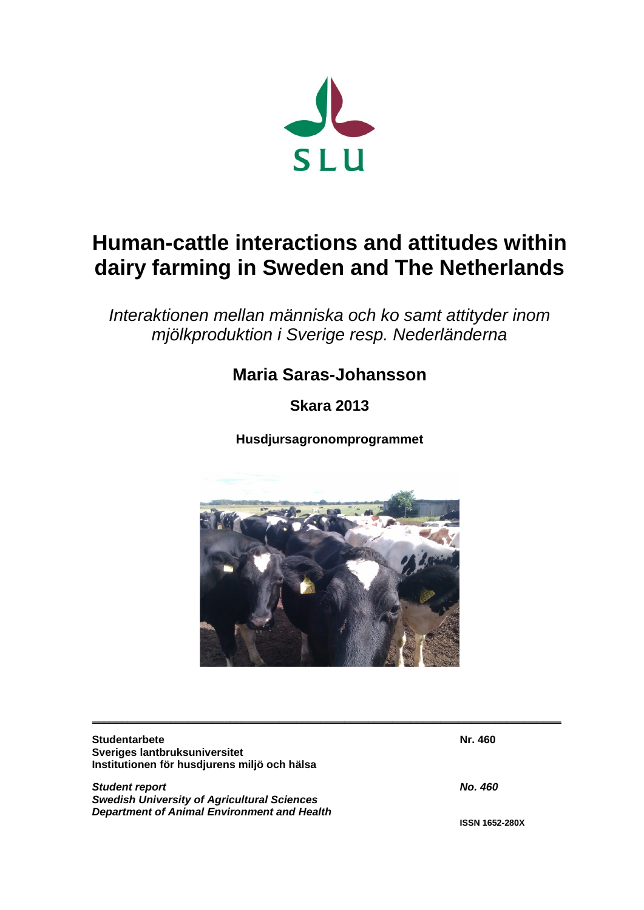

# **Human-cattle interactions and attitudes within dairy farming in Sweden and The Netherlands**

*Interaktionen mellan människa och ko samt attityder inom mjölkproduktion i Sverige resp. Nederländerna*

## **Maria Saras-Johansson**

**Skara 2013**

**Husdjursagronomprogrammet**



| <b>Studentarbete</b>                               | Nr. 460               |
|----------------------------------------------------|-----------------------|
| Sveriges lantbruksuniversitet                      |                       |
| Institutionen för husdjurens miljö och hälsa       |                       |
| <b>Student report</b>                              | No. 460               |
| <b>Swedish University of Agricultural Sciences</b> |                       |
| <b>Department of Animal Environment and Health</b> |                       |
|                                                    | <b>ISSN 1652-280X</b> |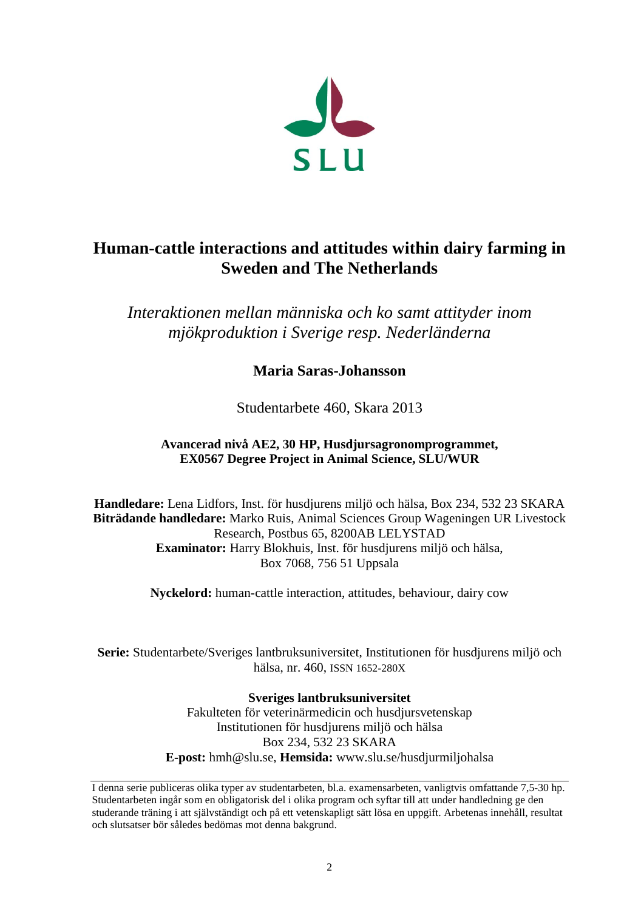

### **Human-cattle interactions and attitudes within dairy farming in Sweden and The Netherlands**

*Interaktionen mellan människa och ko samt attityder inom mjökproduktion i Sverige resp. Nederländerna*

**Maria Saras-Johansson**

Studentarbete 460, Skara 2013

#### **Avancerad nivå AE2, 30 HP, Husdjursagronomprogrammet, EX0567 Degree Project in Animal Science, SLU/WUR**

**Handledare:** Lena Lidfors, Inst. för husdjurens miljö och hälsa, Box 234, 532 23 SKARA **Biträdande handledare:** Marko Ruis, Animal Sciences Group Wageningen UR Livestock Research, Postbus 65, 8200AB LELYSTAD **Examinator:** Harry Blokhuis, Inst. för husdjurens miljö och hälsa, Box 7068, 756 51 Uppsala

**Nyckelord:** human-cattle interaction, attitudes, behaviour, dairy cow

**Serie:** Studentarbete/Sveriges lantbruksuniversitet, Institutionen för husdjurens miljö och hälsa, nr. 460, ISSN 1652-280X

> **Sveriges lantbruksuniversitet** Fakulteten för veterinärmedicin och husdjursvetenskap Institutionen för husdjurens miljö och hälsa Box 234, 532 23 SKARA **E-post:** hmh@slu.se, **Hemsida:** www.slu.se/husdjurmiljohalsa

I denna serie publiceras olika typer av studentarbeten, bl.a. examensarbeten, vanligtvis omfattande 7,5-30 hp. Studentarbeten ingår som en obligatorisk del i olika program och syftar till att under handledning ge den studerande träning i att självständigt och på ett vetenskapligt sätt lösa en uppgift. Arbetenas innehåll, resultat och slutsatser bör således bedömas mot denna bakgrund.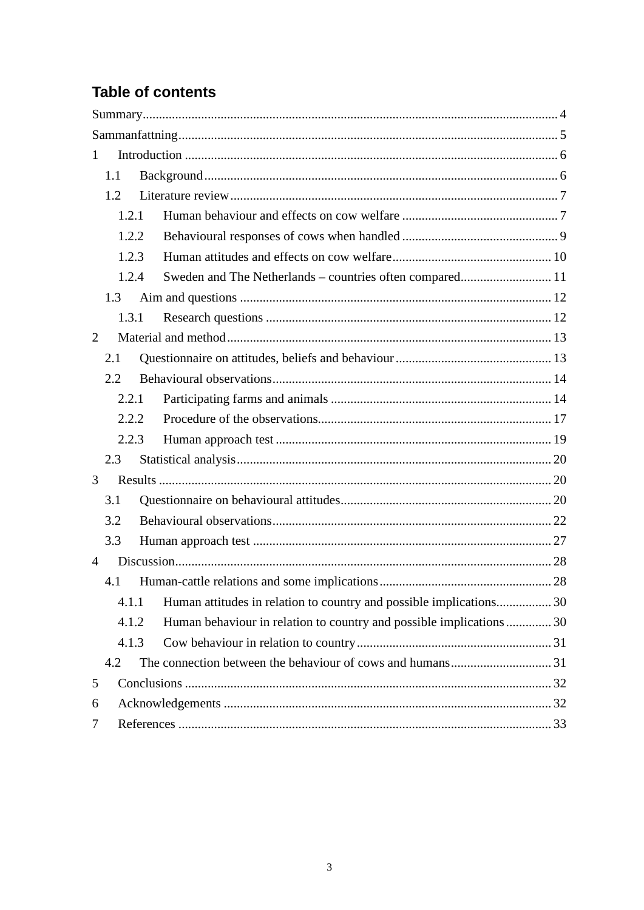### **Table of contents**

| $\mathbf{1}$   |       |                                                                    |  |
|----------------|-------|--------------------------------------------------------------------|--|
|                | 1.1   |                                                                    |  |
|                | 1.2   |                                                                    |  |
|                | 1.2.1 |                                                                    |  |
|                | 1.2.2 |                                                                    |  |
|                | 1.2.3 |                                                                    |  |
|                | 1.2.4 |                                                                    |  |
|                | 1.3   |                                                                    |  |
|                | 1.3.1 |                                                                    |  |
| 2              |       |                                                                    |  |
|                | 2.1   |                                                                    |  |
|                | 2.2   |                                                                    |  |
|                | 2.2.1 |                                                                    |  |
|                | 2.2.2 |                                                                    |  |
|                | 2.2.3 |                                                                    |  |
|                | 2.3   |                                                                    |  |
| 3              |       |                                                                    |  |
|                | 3.1   |                                                                    |  |
|                | 3.2   |                                                                    |  |
|                | 3.3   |                                                                    |  |
| $\overline{4}$ |       |                                                                    |  |
|                | 4.1   |                                                                    |  |
|                | 4.1.1 | Human attitudes in relation to country and possible implications30 |  |
|                | 4.1.2 | Human behaviour in relation to country and possible implications30 |  |
|                | 4.1.3 |                                                                    |  |
|                | 4.2   |                                                                    |  |
| 5              |       |                                                                    |  |
| 6              |       |                                                                    |  |
| 7              |       |                                                                    |  |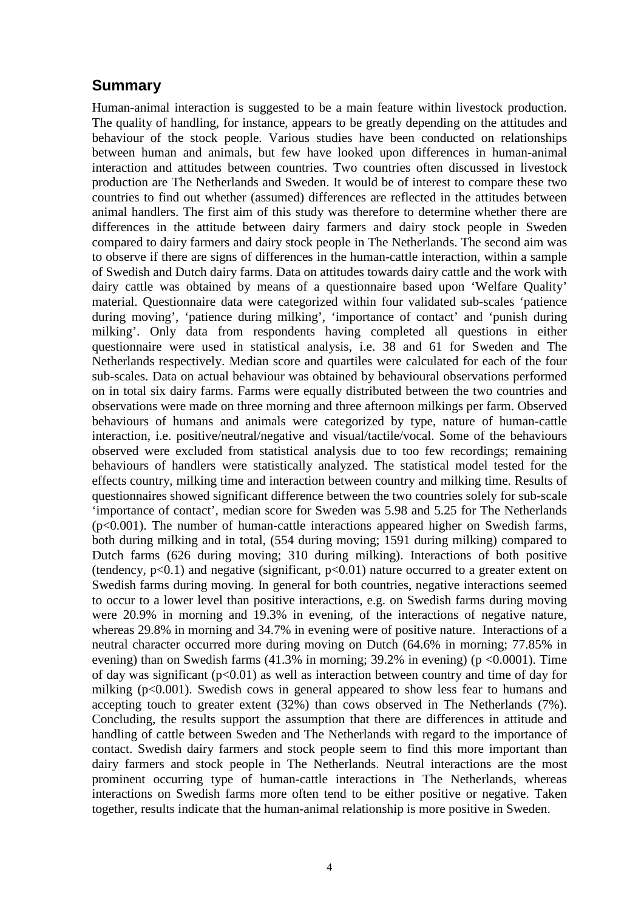### <span id="page-3-0"></span>**Summary**

Human-animal interaction is suggested to be a main feature within livestock production. The quality of handling, for instance, appears to be greatly depending on the attitudes and behaviour of the stock people. Various studies have been conducted on relationships between human and animals, but few have looked upon differences in human-animal interaction and attitudes between countries. Two countries often discussed in livestock production are The Netherlands and Sweden. It would be of interest to compare these two countries to find out whether (assumed) differences are reflected in the attitudes between animal handlers. The first aim of this study was therefore to determine whether there are differences in the attitude between dairy farmers and dairy stock people in Sweden compared to dairy farmers and dairy stock people in The Netherlands. The second aim was to observe if there are signs of differences in the human-cattle interaction, within a sample of Swedish and Dutch dairy farms. Data on attitudes towards dairy cattle and the work with dairy cattle was obtained by means of a questionnaire based upon 'Welfare Quality' material. Questionnaire data were categorized within four validated sub-scales 'patience during moving', 'patience during milking', 'importance of contact' and 'punish during milking'. Only data from respondents having completed all questions in either questionnaire were used in statistical analysis, i.e. 38 and 61 for Sweden and The Netherlands respectively. Median score and quartiles were calculated for each of the four sub-scales. Data on actual behaviour was obtained by behavioural observations performed on in total six dairy farms. Farms were equally distributed between the two countries and observations were made on three morning and three afternoon milkings per farm. Observed behaviours of humans and animals were categorized by type, nature of human-cattle interaction, i.e. positive/neutral/negative and visual/tactile/vocal. Some of the behaviours observed were excluded from statistical analysis due to too few recordings; remaining behaviours of handlers were statistically analyzed. The statistical model tested for the effects country, milking time and interaction between country and milking time. Results of questionnaires showed significant difference between the two countries solely for sub-scale 'importance of contact', median score for Sweden was 5.98 and 5.25 for The Netherlands (p<0.001). The number of human-cattle interactions appeared higher on Swedish farms, both during milking and in total, (554 during moving; 1591 during milking) compared to Dutch farms (626 during moving; 310 during milking). Interactions of both positive (tendency,  $p<0.1$ ) and negative (significant,  $p<0.01$ ) nature occurred to a greater extent on Swedish farms during moving. In general for both countries, negative interactions seemed to occur to a lower level than positive interactions, e.g. on Swedish farms during moving were 20.9% in morning and 19.3% in evening, of the interactions of negative nature, whereas 29.8% in morning and 34.7% in evening were of positive nature. Interactions of a neutral character occurred more during moving on Dutch (64.6% in morning; 77.85% in evening) than on Swedish farms  $(41.3\%$  in morning; 39.2% in evening) (p <0.0001). Time of day was significant  $(p<0.01)$  as well as interaction between country and time of day for milking (p<0.001). Swedish cows in general appeared to show less fear to humans and accepting touch to greater extent (32%) than cows observed in The Netherlands (7%). Concluding, the results support the assumption that there are differences in attitude and handling of cattle between Sweden and The Netherlands with regard to the importance of contact. Swedish dairy farmers and stock people seem to find this more important than dairy farmers and stock people in The Netherlands. Neutral interactions are the most prominent occurring type of human-cattle interactions in The Netherlands, whereas interactions on Swedish farms more often tend to be either positive or negative. Taken together, results indicate that the human-animal relationship is more positive in Sweden.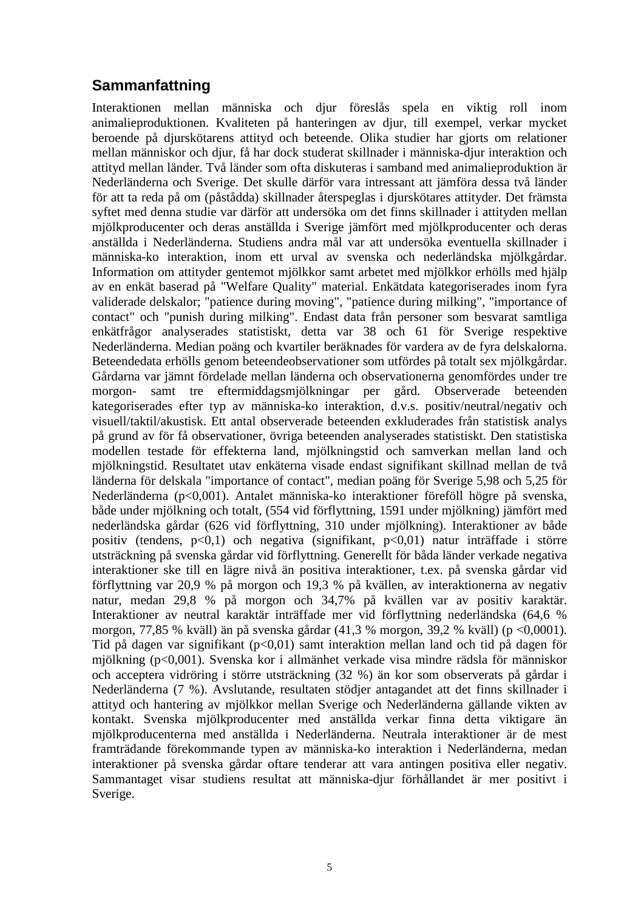### <span id="page-4-0"></span>**Sammanfattning**

Interaktionen mellan människa och djur föreslås spela en viktig roll inom animalieproduktionen. Kvaliteten på hanteringen av djur, till exempel, verkar mycket beroende på djurskötarens attityd och beteende. Olika studier har gjorts om relationer mellan människor och djur, få har dock studerat skillnader i människa-djur interaktion och attityd mellan länder. Två länder som ofta diskuteras i samband med animalieproduktion är Nederländerna och Sverige. Det skulle därför vara intressant att jämföra dessa två länder för att ta reda på om (påstådda) skillnader återspeglas i djurskötares attityder. Det främsta syftet med denna studie var därför att undersöka om det finns skillnader i attityden mellan mjölkproducenter och deras anställda i Sverige jämfört med mjölkproducenter och deras anställda i Nederländerna. Studiens andra mål var att undersöka eventuella skillnader i människa-ko interaktion, inom ett urval av svenska och nederländska mjölkgårdar. Information om attityder gentemot mjölkkor samt arbetet med mjölkkor erhölls med hjälp av en enkät baserad på "Welfare Quality" material. Enkätdata kategoriserades inom fyra validerade delskalor; "patience during moving", "patience during milking", "importance of contact" och "punish during milking". Endast data från personer som besvarat samtliga enkätfrågor analyserades statistiskt, detta var 38 och 61 för Sverige respektive Nederländerna. Median poäng och kvartiler beräknades för vardera av de fyra delskalorna. Beteendedata erhölls genom beteendeobservationer som utfördes på totalt sex mjölkgårdar. Gårdarna var jämnt fördelade mellan länderna och observationerna genomfördes under tre morgon- samt tre eftermiddagsmjölkningar per gård. Observerade beteenden kategoriserades efter typ av människa-ko interaktion, d.v.s. positiv/neutral/negativ och visuell/taktil/akustisk. Ett antal observerade beteenden exkluderades från statistisk analys på grund av för få observationer, övriga beteenden analyserades statistiskt. Den statistiska modellen testade för effekterna land, mjölkningstid och samverkan mellan land och mjölkningstid. Resultatet utav enkäterna visade endast signifikant skillnad mellan de två länderna för delskala "importance of contact", median poäng för Sverige 5,98 och 5,25 för Nederländerna (p<0,001). Antalet människa-ko interaktioner föreföll högre på svenska, både under mjölkning och totalt, (554 vid förflyttning, 1591 under mjölkning) jämfört med nederländska gårdar (626 vid förflyttning, 310 under mjölkning). Interaktioner av både positiv (tendens, p<0,1) och negativa (signifikant, p<0,01) natur inträffade i större utsträckning på svenska gårdar vid förflyttning. Generellt för båda länder verkade negativa interaktioner ske till en lägre nivå än positiva interaktioner, t.ex. på svenska gårdar vid förflyttning var 20,9 % på morgon och 19,3 % på kvällen, av interaktionerna av negativ natur, medan 29,8 % på morgon och 34,7% på kvällen var av positiv karaktär. Interaktioner av neutral karaktär inträffade mer vid förflyttning nederländska (64,6 % morgon, 77,85 % kväll) än på svenska gårdar (41,3 % morgon, 39,2 % kväll) (p <0,0001). Tid på dagen var signifikant ( $p<0.01$ ) samt interaktion mellan land och tid på dagen för mjölkning (p<0,001). Svenska kor i allmänhet verkade visa mindre rädsla för människor och acceptera vidröring i större utsträckning (32 %) än kor som observerats på gårdar i Nederländerna (7 %). Avslutande, resultaten stödjer antagandet att det finns skillnader i attityd och hantering av mjölkkor mellan Sverige och Nederländerna gällande vikten av kontakt. Svenska mjölkproducenter med anställda verkar finna detta viktigare än mjölkproducenterna med anställda i Nederländerna. Neutrala interaktioner är de mest framträdande förekommande typen av människa-ko interaktion i Nederländerna, medan interaktioner på svenska gårdar oftare tenderar att vara antingen positiva eller negativ. Sammantaget visar studiens resultat att människa-djur förhållandet är mer positivt i Sverige.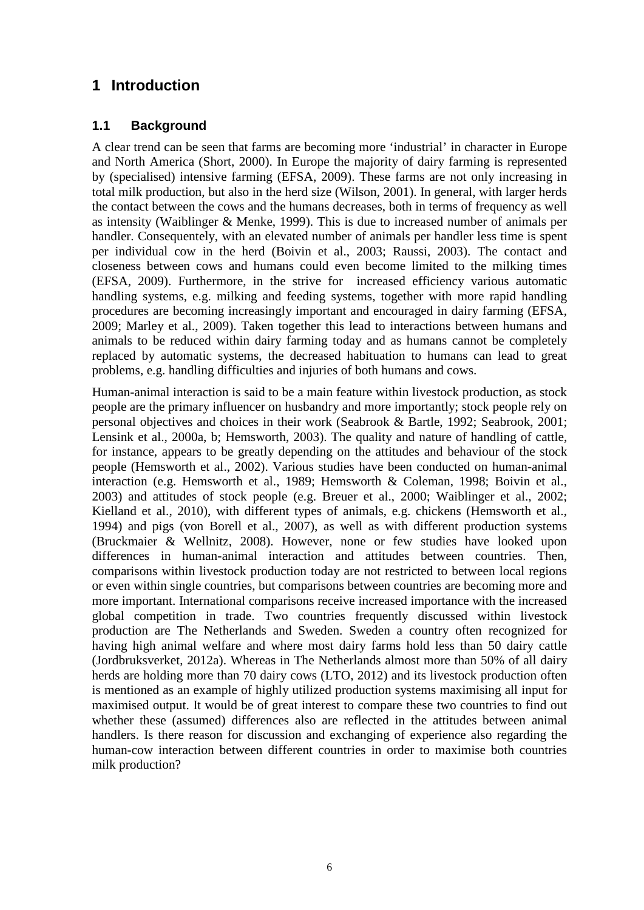### <span id="page-5-0"></span>**1 Introduction**

#### <span id="page-5-1"></span>**1.1 Background**

A clear trend can be seen that farms are becoming more 'industrial' in character in Europe and North America (Short, 2000). In Europe the majority of dairy farming is represented by (specialised) intensive farming (EFSA, 2009). These farms are not only increasing in total milk production, but also in the herd size (Wilson, 2001). In general, with larger herds the contact between the cows and the humans decreases, both in terms of frequency as well as intensity (Waiblinger & Menke, 1999). This is due to increased number of animals per handler. Consequentely, with an elevated number of animals per handler less time is spent per individual cow in the herd (Boivin et al., 2003; Raussi, 2003). The contact and closeness between cows and humans could even become limited to the milking times (EFSA, 2009). Furthermore, in the strive for increased efficiency various automatic handling systems, e.g. milking and feeding systems, together with more rapid handling procedures are becoming increasingly important and encouraged in dairy farming (EFSA, 2009; Marley et al., 2009). Taken together this lead to interactions between humans and animals to be reduced within dairy farming today and as humans cannot be completely replaced by automatic systems, the decreased habituation to humans can lead to great problems, e.g. handling difficulties and injuries of both humans and cows.

Human-animal interaction is said to be a main feature within livestock production, as stock people are the primary influencer on husbandry and more importantly; stock people rely on personal objectives and choices in their work (Seabrook & Bartle, 1992; Seabrook, 2001; Lensink et al., 2000a, b; Hemsworth, 2003). The quality and nature of handling of cattle, for instance, appears to be greatly depending on the attitudes and behaviour of the stock people (Hemsworth et al., 2002). Various studies have been conducted on human-animal interaction (e.g. Hemsworth et al., 1989; Hemsworth & Coleman, 1998; Boivin et al., 2003) and attitudes of stock people (e.g. Breuer et al., 2000; Waiblinger et al., 2002; Kielland et al., 2010), with different types of animals, e.g. chickens (Hemsworth et al., 1994) and pigs (von Borell et al., 2007), as well as with different production systems (Bruckmaier & Wellnitz, 2008). However, none or few studies have looked upon differences in human-animal interaction and attitudes between countries. Then, comparisons within livestock production today are not restricted to between local regions or even within single countries, but comparisons between countries are becoming more and more important. International comparisons receive increased importance with the increased global competition in trade. Two countries frequently discussed within livestock production are The Netherlands and Sweden. Sweden a country often recognized for having high animal welfare and where most dairy farms hold less than 50 dairy cattle (Jordbruksverket, 2012a). Whereas in The Netherlands almost more than 50% of all dairy herds are holding more than 70 dairy cows (LTO, 2012) and its livestock production often is mentioned as an example of highly utilized production systems maximising all input for maximised output. It would be of great interest to compare these two countries to find out whether these (assumed) differences also are reflected in the attitudes between animal handlers. Is there reason for discussion and exchanging of experience also regarding the human-cow interaction between different countries in order to maximise both countries milk production?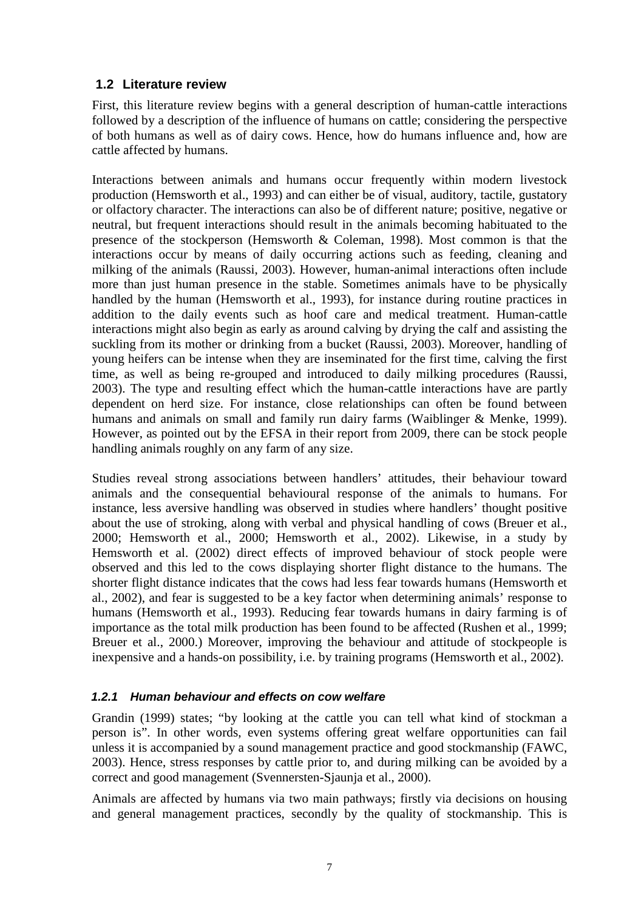#### <span id="page-6-0"></span>**1.2 Literature review**

First, this literature review begins with a general description of human-cattle interactions followed by a description of the influence of humans on cattle; considering the perspective of both humans as well as of dairy cows. Hence, how do humans influence and, how are cattle affected by humans.

Interactions between animals and humans occur frequently within modern livestock production (Hemsworth et al., 1993) and can either be of visual, auditory, tactile, gustatory or olfactory character. The interactions can also be of different nature; positive, negative or neutral, but frequent interactions should result in the animals becoming habituated to the presence of the stockperson (Hemsworth & Coleman, 1998). Most common is that the interactions occur by means of daily occurring actions such as feeding, cleaning and milking of the animals (Raussi, 2003). However, human-animal interactions often include more than just human presence in the stable. Sometimes animals have to be physically handled by the human (Hemsworth et al., 1993), for instance during routine practices in addition to the daily events such as hoof care and medical treatment. Human-cattle interactions might also begin as early as around calving by drying the calf and assisting the suckling from its mother or drinking from a bucket (Raussi, 2003). Moreover, handling of young heifers can be intense when they are inseminated for the first time, calving the first time, as well as being re-grouped and introduced to daily milking procedures (Raussi, 2003). The type and resulting effect which the human-cattle interactions have are partly dependent on herd size. For instance, close relationships can often be found between humans and animals on small and family run dairy farms (Waiblinger & Menke, 1999). However, as pointed out by the EFSA in their report from 2009, there can be stock people handling animals roughly on any farm of any size.

Studies reveal strong associations between handlers' attitudes, their behaviour toward animals and the consequential behavioural response of the animals to humans. For instance, less aversive handling was observed in studies where handlers' thought positive about the use of stroking, along with verbal and physical handling of cows (Breuer et al., 2000; Hemsworth et al., 2000; Hemsworth et al., 2002). Likewise, in a study by Hemsworth et al. (2002) direct effects of improved behaviour of stock people were observed and this led to the cows displaying shorter flight distance to the humans. The shorter flight distance indicates that the cows had less fear towards humans (Hemsworth et al., 2002), and fear is suggested to be a key factor when determining animals' response to humans (Hemsworth et al., 1993). Reducing fear towards humans in dairy farming is of importance as the total milk production has been found to be affected (Rushen et al., 1999; Breuer et al., 2000.) Moreover, improving the behaviour and attitude of stockpeople is inexpensive and a hands-on possibility, i.e. by training programs (Hemsworth et al., 2002).

#### <span id="page-6-1"></span>*1.2.1 Human behaviour and effects on cow welfare*

Grandin (1999) states; "by looking at the cattle you can tell what kind of stockman a person is". In other words, even systems offering great welfare opportunities can fail unless it is accompanied by a sound management practice and good stockmanship (FAWC, 2003). Hence, stress responses by cattle prior to, and during milking can be avoided by a correct and good management (Svennersten-Sjaunja et al., 2000).

Animals are affected by humans via two main pathways; firstly via decisions on housing and general management practices, secondly by the quality of stockmanship. This is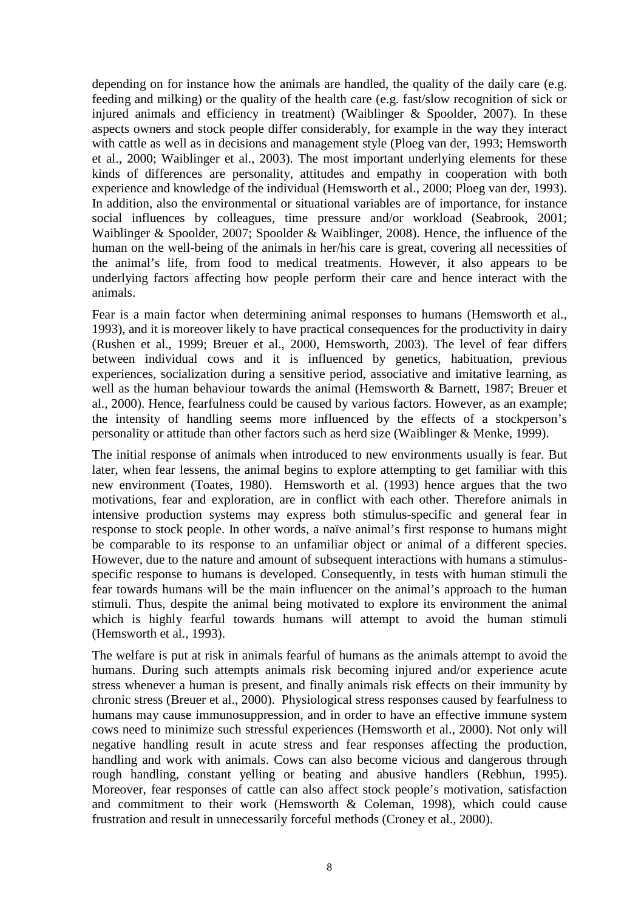depending on for instance how the animals are handled, the quality of the daily care (e.g. feeding and milking) or the quality of the health care (e.g. fast/slow recognition of sick or injured animals and efficiency in treatment) (Waiblinger & Spoolder, 2007). In these aspects owners and stock people differ considerably, for example in the way they interact with cattle as well as in decisions and management style (Ploeg van der, 1993; Hemsworth et al., 2000; Waiblinger et al., 2003). The most important underlying elements for these kinds of differences are personality, attitudes and empathy in cooperation with both experience and knowledge of the individual (Hemsworth et al., 2000; Ploeg van der, 1993). In addition, also the environmental or situational variables are of importance, for instance social influences by colleagues, time pressure and/or workload (Seabrook, 2001; Waiblinger & Spoolder, 2007; Spoolder & Waiblinger, 2008). Hence, the influence of the human on the well-being of the animals in her/his care is great, covering all necessities of the animal's life, from food to medical treatments. However, it also appears to be underlying factors affecting how people perform their care and hence interact with the animals.

Fear is a main factor when determining animal responses to humans (Hemsworth et al., 1993), and it is moreover likely to have practical consequences for the productivity in dairy (Rushen et al., 1999; Breuer et al., 2000, Hemsworth, 2003). The level of fear differs between individual cows and it is influenced by genetics, habituation, previous experiences, socialization during a sensitive period, associative and imitative learning, as well as the human behaviour towards the animal (Hemsworth & Barnett, 1987; Breuer et al., 2000). Hence, fearfulness could be caused by various factors. However, as an example; the intensity of handling seems more influenced by the effects of a stockperson's personality or attitude than other factors such as herd size (Waiblinger & Menke, 1999).

The initial response of animals when introduced to new environments usually is fear. But later, when fear lessens, the animal begins to explore attempting to get familiar with this new environment (Toates, 1980). Hemsworth et al. (1993) hence argues that the two motivations, fear and exploration, are in conflict with each other. Therefore animals in intensive production systems may express both stimulus-specific and general fear in response to stock people. In other words, a naïve animal's first response to humans might be comparable to its response to an unfamiliar object or animal of a different species. However, due to the nature and amount of subsequent interactions with humans a stimulusspecific response to humans is developed. Consequently, in tests with human stimuli the fear towards humans will be the main influencer on the animal's approach to the human stimuli. Thus, despite the animal being motivated to explore its environment the animal which is highly fearful towards humans will attempt to avoid the human stimuli (Hemsworth et al., 1993).

The welfare is put at risk in animals fearful of humans as the animals attempt to avoid the humans. During such attempts animals risk becoming injured and/or experience acute stress whenever a human is present, and finally animals risk effects on their immunity by chronic stress (Breuer et al., 2000). Physiological stress responses caused by fearfulness to humans may cause immunosuppression, and in order to have an effective immune system cows need to minimize such stressful experiences (Hemsworth et al., 2000). Not only will negative handling result in acute stress and fear responses affecting the production, handling and work with animals. Cows can also become vicious and dangerous through rough handling, constant yelling or beating and abusive handlers (Rebhun, 1995). Moreover, fear responses of cattle can also affect stock people's motivation, satisfaction and commitment to their work (Hemsworth & Coleman, 1998), which could cause frustration and result in unnecessarily forceful methods (Croney et al., 2000).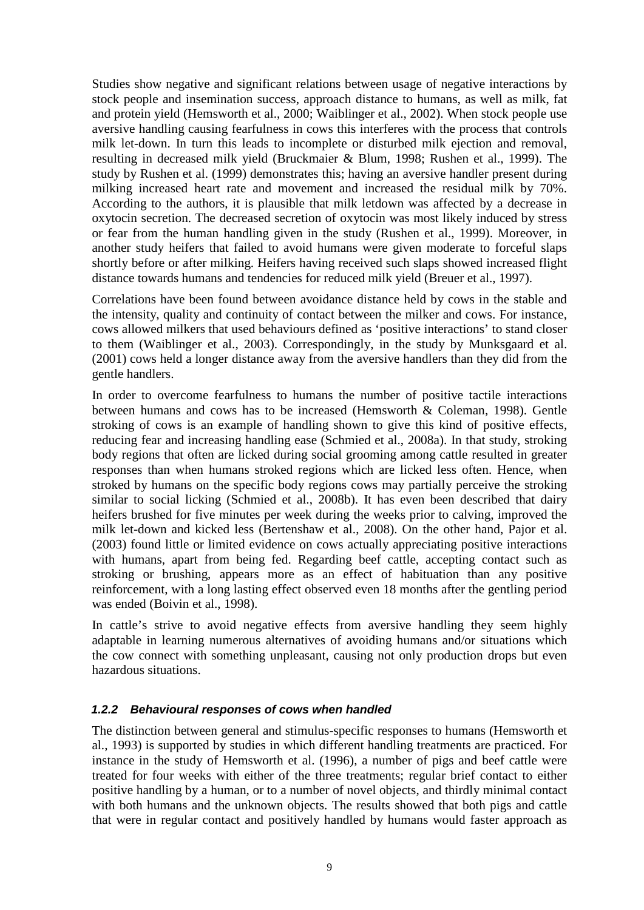Studies show negative and significant relations between usage of negative interactions by stock people and insemination success, approach distance to humans, as well as milk, fat and protein yield (Hemsworth et al., 2000; Waiblinger et al., 2002). When stock people use aversive handling causing fearfulness in cows this interferes with the process that controls milk let-down. In turn this leads to incomplete or disturbed milk ejection and removal, resulting in decreased milk yield (Bruckmaier & Blum, 1998; Rushen et al., 1999). The study by Rushen et al. (1999) demonstrates this; having an aversive handler present during milking increased heart rate and movement and increased the residual milk by 70%. According to the authors, it is plausible that milk letdown was affected by a decrease in oxytocin secretion. The decreased secretion of oxytocin was most likely induced by stress or fear from the human handling given in the study (Rushen et al., 1999). Moreover, in another study heifers that failed to avoid humans were given moderate to forceful slaps shortly before or after milking. Heifers having received such slaps showed increased flight distance towards humans and tendencies for reduced milk yield (Breuer et al., 1997).

Correlations have been found between avoidance distance held by cows in the stable and the intensity, quality and continuity of contact between the milker and cows. For instance, cows allowed milkers that used behaviours defined as 'positive interactions' to stand closer to them (Waiblinger et al., 2003). Correspondingly, in the study by Munksgaard et al. (2001) cows held a longer distance away from the aversive handlers than they did from the gentle handlers.

In order to overcome fearfulness to humans the number of positive tactile interactions between humans and cows has to be increased (Hemsworth & Coleman, 1998). Gentle stroking of cows is an example of handling shown to give this kind of positive effects, reducing fear and increasing handling ease (Schmied et al., 2008a). In that study, stroking body regions that often are licked during social grooming among cattle resulted in greater responses than when humans stroked regions which are licked less often. Hence, when stroked by humans on the specific body regions cows may partially perceive the stroking similar to social licking (Schmied et al., 2008b). It has even been described that dairy heifers brushed for five minutes per week during the weeks prior to calving, improved the milk let-down and kicked less (Bertenshaw et al., 2008). On the other hand, Pajor et al. (2003) found little or limited evidence on cows actually appreciating positive interactions with humans, apart from being fed. Regarding beef cattle, accepting contact such as stroking or brushing, appears more as an effect of habituation than any positive reinforcement, with a long lasting effect observed even 18 months after the gentling period was ended (Boivin et al., 1998).

In cattle's strive to avoid negative effects from aversive handling they seem highly adaptable in learning numerous alternatives of avoiding humans and/or situations which the cow connect with something unpleasant, causing not only production drops but even hazardous situations.

#### <span id="page-8-0"></span>*1.2.2 Behavioural responses of cows when handled*

The distinction between general and stimulus-specific responses to humans (Hemsworth et al., 1993) is supported by studies in which different handling treatments are practiced. For instance in the study of Hemsworth et al. (1996), a number of pigs and beef cattle were treated for four weeks with either of the three treatments; regular brief contact to either positive handling by a human, or to a number of novel objects, and thirdly minimal contact with both humans and the unknown objects. The results showed that both pigs and cattle that were in regular contact and positively handled by humans would faster approach as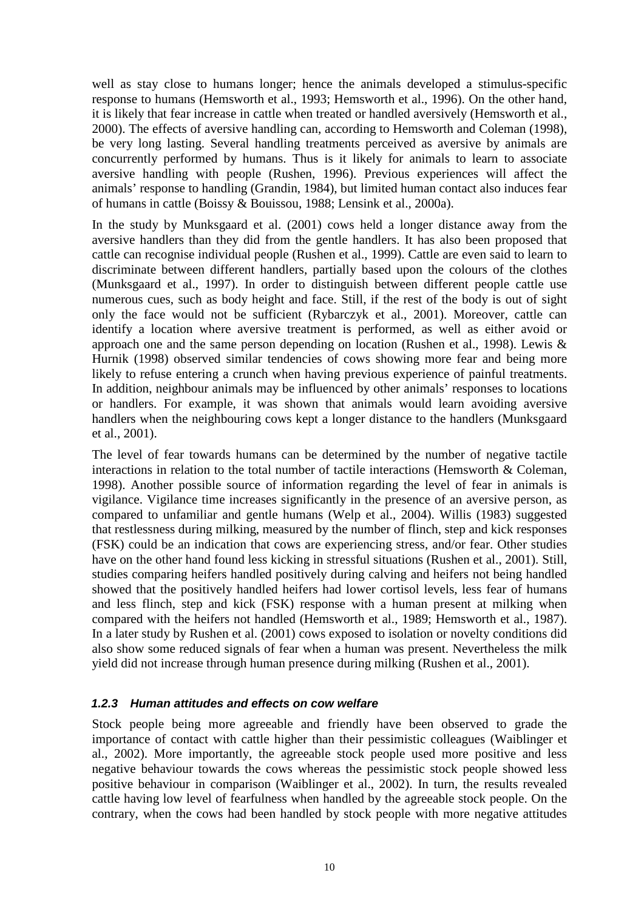well as stay close to humans longer; hence the animals developed a stimulus-specific response to humans (Hemsworth et al., 1993; Hemsworth et al., 1996). On the other hand, it is likely that fear increase in cattle when treated or handled aversively (Hemsworth et al., 2000). The effects of aversive handling can, according to Hemsworth and Coleman (1998), be very long lasting. Several handling treatments perceived as aversive by animals are concurrently performed by humans. Thus is it likely for animals to learn to associate aversive handling with people (Rushen, 1996). Previous experiences will affect the animals' response to handling (Grandin, 1984), but limited human contact also induces fear of humans in cattle (Boissy & Bouissou, 1988; Lensink et al., 2000a).

In the study by Munksgaard et al. (2001) cows held a longer distance away from the aversive handlers than they did from the gentle handlers. It has also been proposed that cattle can recognise individual people (Rushen et al., 1999). Cattle are even said to learn to discriminate between different handlers, partially based upon the colours of the clothes (Munksgaard et al., 1997). In order to distinguish between different people cattle use numerous cues, such as body height and face. Still, if the rest of the body is out of sight only the face would not be sufficient (Rybarczyk et al., 2001). Moreover, cattle can identify a location where aversive treatment is performed, as well as either avoid or approach one and the same person depending on location (Rushen et al., 1998). Lewis & Hurnik (1998) observed similar tendencies of cows showing more fear and being more likely to refuse entering a crunch when having previous experience of painful treatments. In addition, neighbour animals may be influenced by other animals' responses to locations or handlers. For example, it was shown that animals would learn avoiding aversive handlers when the neighbouring cows kept a longer distance to the handlers (Munksgaard et al., 2001).

The level of fear towards humans can be determined by the number of negative tactile interactions in relation to the total number of tactile interactions (Hemsworth & Coleman, 1998). Another possible source of information regarding the level of fear in animals is vigilance. Vigilance time increases significantly in the presence of an aversive person, as compared to unfamiliar and gentle humans (Welp et al., 2004). Willis (1983) suggested that restlessness during milking, measured by the number of flinch, step and kick responses (FSK) could be an indication that cows are experiencing stress, and/or fear. Other studies have on the other hand found less kicking in stressful situations (Rushen et al., 2001). Still, studies comparing heifers handled positively during calving and heifers not being handled showed that the positively handled heifers had lower cortisol levels, less fear of humans and less flinch, step and kick (FSK) response with a human present at milking when compared with the heifers not handled (Hemsworth et al., 1989; Hemsworth et al., 1987). In a later study by Rushen et al. (2001) cows exposed to isolation or novelty conditions did also show some reduced signals of fear when a human was present. Nevertheless the milk yield did not increase through human presence during milking (Rushen et al., 2001).

#### <span id="page-9-0"></span>*1.2.3 Human attitudes and effects on cow welfare*

Stock people being more agreeable and friendly have been observed to grade the importance of contact with cattle higher than their pessimistic colleagues (Waiblinger et al., 2002). More importantly, the agreeable stock people used more positive and less negative behaviour towards the cows whereas the pessimistic stock people showed less positive behaviour in comparison (Waiblinger et al., 2002). In turn, the results revealed cattle having low level of fearfulness when handled by the agreeable stock people. On the contrary, when the cows had been handled by stock people with more negative attitudes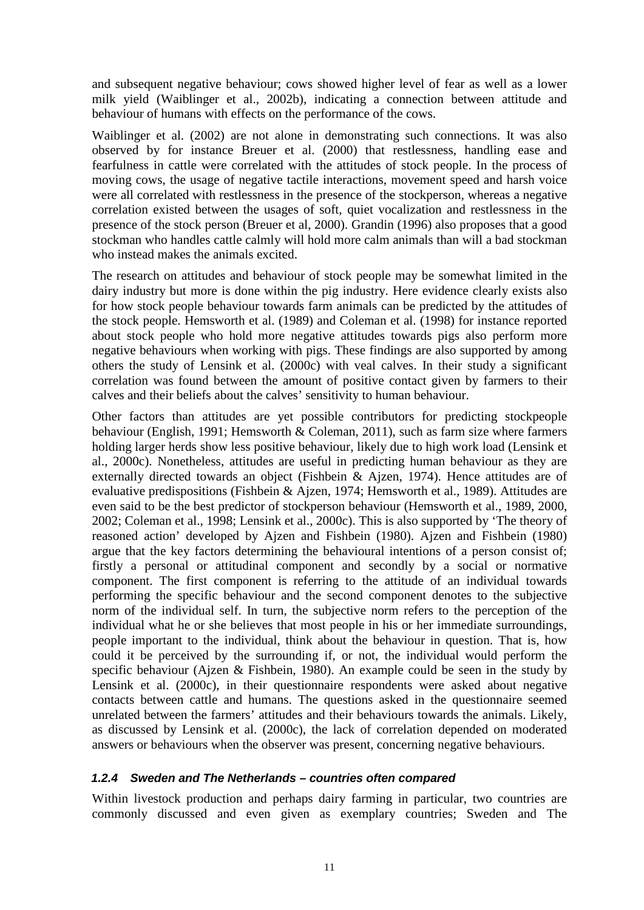and subsequent negative behaviour; cows showed higher level of fear as well as a lower milk yield (Waiblinger et al., 2002b), indicating a connection between attitude and behaviour of humans with effects on the performance of the cows.

Waiblinger et al. (2002) are not alone in demonstrating such connections. It was also observed by for instance Breuer et al. (2000) that restlessness, handling ease and fearfulness in cattle were correlated with the attitudes of stock people. In the process of moving cows, the usage of negative tactile interactions, movement speed and harsh voice were all correlated with restlessness in the presence of the stockperson, whereas a negative correlation existed between the usages of soft, quiet vocalization and restlessness in the presence of the stock person (Breuer et al, 2000). Grandin (1996) also proposes that a good stockman who handles cattle calmly will hold more calm animals than will a bad stockman who instead makes the animals excited.

The research on attitudes and behaviour of stock people may be somewhat limited in the dairy industry but more is done within the pig industry. Here evidence clearly exists also for how stock people behaviour towards farm animals can be predicted by the attitudes of the stock people. Hemsworth et al. (1989) and Coleman et al. (1998) for instance reported about stock people who hold more negative attitudes towards pigs also perform more negative behaviours when working with pigs. These findings are also supported by among others the study of Lensink et al. (2000c) with veal calves. In their study a significant correlation was found between the amount of positive contact given by farmers to their calves and their beliefs about the calves' sensitivity to human behaviour.

Other factors than attitudes are yet possible contributors for predicting stockpeople behaviour (English, 1991; Hemsworth & Coleman, 2011), such as farm size where farmers holding larger herds show less positive behaviour, likely due to high work load (Lensink et al., 2000c). Nonetheless, attitudes are useful in predicting human behaviour as they are externally directed towards an object (Fishbein & Ajzen, 1974). Hence attitudes are of evaluative predispositions (Fishbein & Ajzen, 1974; Hemsworth et al., 1989). Attitudes are even said to be the best predictor of stockperson behaviour (Hemsworth et al., 1989, 2000, 2002; Coleman et al., 1998; Lensink et al., 2000c). This is also supported by 'The theory of reasoned action' developed by Ajzen and Fishbein (1980). Ajzen and Fishbein (1980) argue that the key factors determining the behavioural intentions of a person consist of; firstly a personal or attitudinal component and secondly by a social or normative component. The first component is referring to the attitude of an individual towards performing the specific behaviour and the second component denotes to the subjective norm of the individual self. In turn, the subjective norm refers to the perception of the individual what he or she believes that most people in his or her immediate surroundings, people important to the individual, think about the behaviour in question. That is, how could it be perceived by the surrounding if, or not, the individual would perform the specific behaviour (Ajzen & Fishbein, 1980). An example could be seen in the study by Lensink et al. (2000c), in their questionnaire respondents were asked about negative contacts between cattle and humans. The questions asked in the questionnaire seemed unrelated between the farmers' attitudes and their behaviours towards the animals. Likely, as discussed by Lensink et al. (2000c), the lack of correlation depended on moderated answers or behaviours when the observer was present, concerning negative behaviours.

#### <span id="page-10-0"></span>*1.2.4 Sweden and The Netherlands – countries often compared*

Within livestock production and perhaps dairy farming in particular, two countries are commonly discussed and even given as exemplary countries; Sweden and The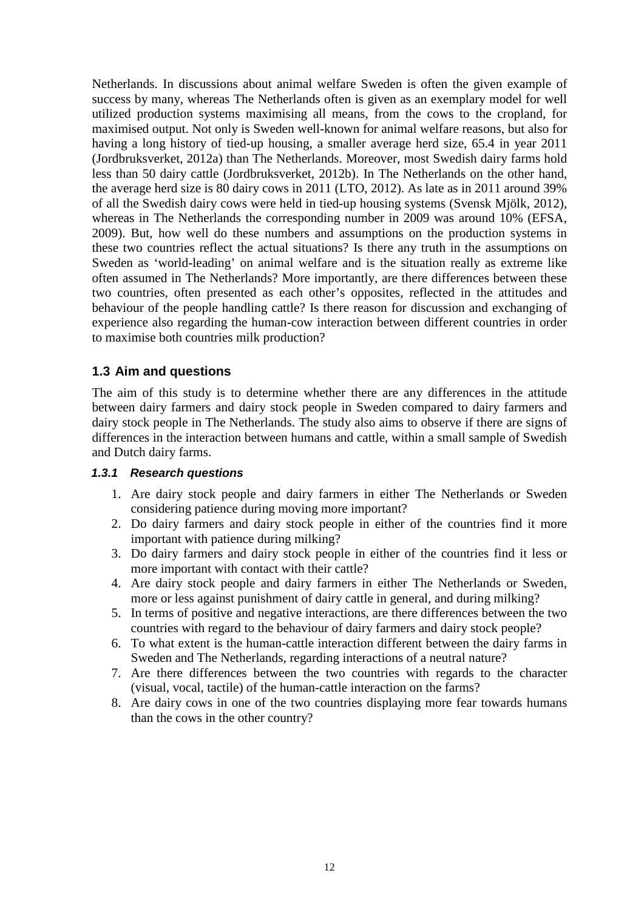Netherlands. In discussions about animal welfare Sweden is often the given example of success by many, whereas The Netherlands often is given as an exemplary model for well utilized production systems maximising all means, from the cows to the cropland, for maximised output. Not only is Sweden well-known for animal welfare reasons, but also for having a long history of tied-up housing, a smaller average herd size, 65.4 in year 2011 (Jordbruksverket, 2012a) than The Netherlands. Moreover, most Swedish dairy farms hold less than 50 dairy cattle (Jordbruksverket, 2012b). In The Netherlands on the other hand, the average herd size is 80 dairy cows in 2011 (LTO, 2012). As late as in 2011 around 39% of all the Swedish dairy cows were held in tied-up housing systems (Svensk Mjölk, 2012), whereas in The Netherlands the corresponding number in 2009 was around 10% (EFSA, 2009). But, how well do these numbers and assumptions on the production systems in these two countries reflect the actual situations? Is there any truth in the assumptions on Sweden as 'world-leading' on animal welfare and is the situation really as extreme like often assumed in The Netherlands? More importantly, are there differences between these two countries, often presented as each other's opposites, reflected in the attitudes and behaviour of the people handling cattle? Is there reason for discussion and exchanging of experience also regarding the human-cow interaction between different countries in order to maximise both countries milk production?

#### <span id="page-11-0"></span>**1.3 Aim and questions**

The aim of this study is to determine whether there are any differences in the attitude between dairy farmers and dairy stock people in Sweden compared to dairy farmers and dairy stock people in The Netherlands. The study also aims to observe if there are signs of differences in the interaction between humans and cattle, within a small sample of Swedish and Dutch dairy farms.

#### <span id="page-11-1"></span>*1.3.1 Research questions*

- 1. Are dairy stock people and dairy farmers in either The Netherlands or Sweden considering patience during moving more important?
- 2. Do dairy farmers and dairy stock people in either of the countries find it more important with patience during milking?
- 3. Do dairy farmers and dairy stock people in either of the countries find it less or more important with contact with their cattle?
- 4. Are dairy stock people and dairy farmers in either The Netherlands or Sweden, more or less against punishment of dairy cattle in general, and during milking?
- 5. In terms of positive and negative interactions, are there differences between the two countries with regard to the behaviour of dairy farmers and dairy stock people?
- 6. To what extent is the human-cattle interaction different between the dairy farms in Sweden and The Netherlands, regarding interactions of a neutral nature?
- 7. Are there differences between the two countries with regards to the character (visual, vocal, tactile) of the human-cattle interaction on the farms?
- 8. Are dairy cows in one of the two countries displaying more fear towards humans than the cows in the other country?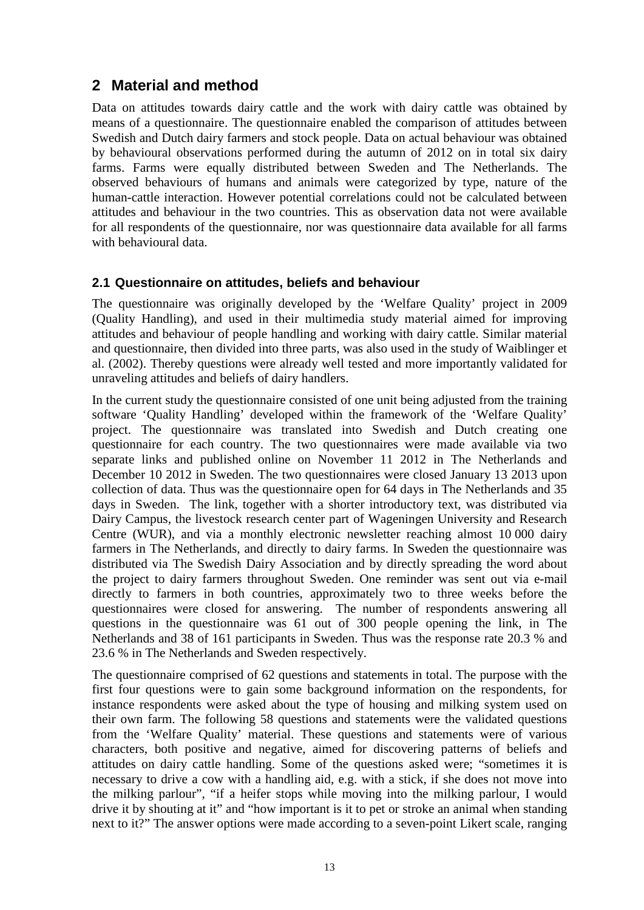### <span id="page-12-0"></span>**2 Material and method**

Data on attitudes towards dairy cattle and the work with dairy cattle was obtained by means of a questionnaire. The questionnaire enabled the comparison of attitudes between Swedish and Dutch dairy farmers and stock people. Data on actual behaviour was obtained by behavioural observations performed during the autumn of 2012 on in total six dairy farms. Farms were equally distributed between Sweden and The Netherlands. The observed behaviours of humans and animals were categorized by type, nature of the human-cattle interaction. However potential correlations could not be calculated between attitudes and behaviour in the two countries. This as observation data not were available for all respondents of the questionnaire, nor was questionnaire data available for all farms with behavioural data.

#### <span id="page-12-1"></span>**2.1 Questionnaire on attitudes, beliefs and behaviour**

The questionnaire was originally developed by the 'Welfare Quality' project in 2009 (Quality Handling), and used in their multimedia study material aimed for improving attitudes and behaviour of people handling and working with dairy cattle. Similar material and questionnaire, then divided into three parts, was also used in the study of Waiblinger et al. (2002). Thereby questions were already well tested and more importantly validated for unraveling attitudes and beliefs of dairy handlers.

In the current study the questionnaire consisted of one unit being adjusted from the training software 'Quality Handling' developed within the framework of the 'Welfare Quality' project. The questionnaire was translated into Swedish and Dutch creating one questionnaire for each country. The two questionnaires were made available via two separate links and published online on November 11 2012 in The Netherlands and December 10 2012 in Sweden. The two questionnaires were closed January 13 2013 upon collection of data. Thus was the questionnaire open for 64 days in The Netherlands and 35 days in Sweden. The link, together with a shorter introductory text, was distributed via Dairy Campus, the livestock research center part of Wageningen University and Research Centre (WUR), and via a monthly electronic newsletter reaching almost 10 000 dairy farmers in The Netherlands, and directly to dairy farms. In Sweden the questionnaire was distributed via The Swedish Dairy Association and by directly spreading the word about the project to dairy farmers throughout Sweden. One reminder was sent out via e-mail directly to farmers in both countries, approximately two to three weeks before the questionnaires were closed for answering. The number of respondents answering all questions in the questionnaire was 61 out of 300 people opening the link, in The Netherlands and 38 of 161 participants in Sweden. Thus was the response rate 20.3 % and 23.6 % in The Netherlands and Sweden respectively.

The questionnaire comprised of 62 questions and statements in total. The purpose with the first four questions were to gain some background information on the respondents, for instance respondents were asked about the type of housing and milking system used on their own farm. The following 58 questions and statements were the validated questions from the 'Welfare Quality' material. These questions and statements were of various characters, both positive and negative, aimed for discovering patterns of beliefs and attitudes on dairy cattle handling. Some of the questions asked were; "sometimes it is necessary to drive a cow with a handling aid, e.g. with a stick, if she does not move into the milking parlour", "if a heifer stops while moving into the milking parlour, I would drive it by shouting at it" and "how important is it to pet or stroke an animal when standing next to it?" The answer options were made according to a seven-point Likert scale, ranging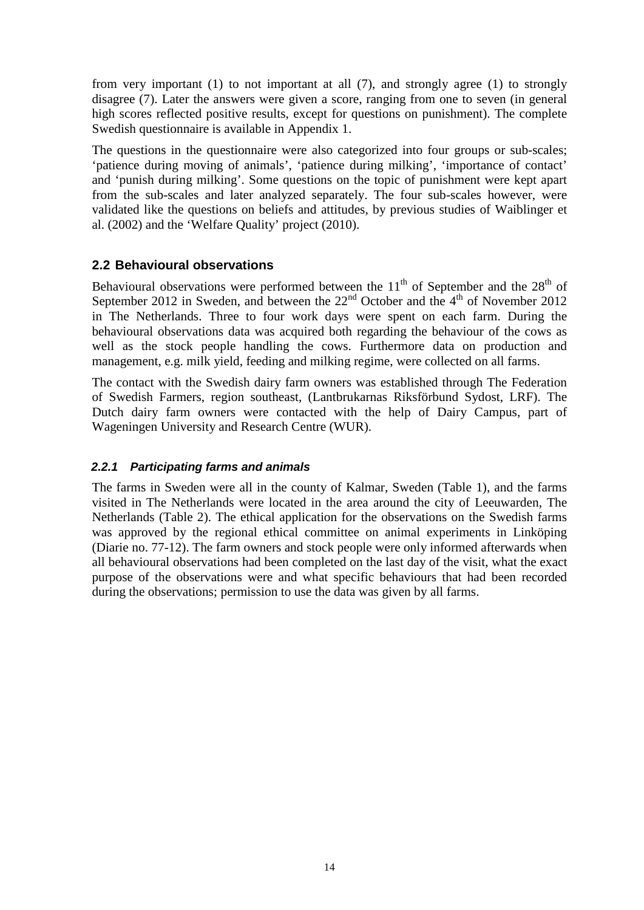from very important (1) to not important at all (7), and strongly agree (1) to strongly disagree (7). Later the answers were given a score, ranging from one to seven (in general high scores reflected positive results, except for questions on punishment). The complete Swedish questionnaire is available in Appendix 1.

The questions in the questionnaire were also categorized into four groups or sub-scales; 'patience during moving of animals', 'patience during milking', 'importance of contact' and 'punish during milking'. Some questions on the topic of punishment were kept apart from the sub-scales and later analyzed separately. The four sub-scales however, were validated like the questions on beliefs and attitudes, by previous studies of Waiblinger et al. (2002) and the 'Welfare Quality' project (2010).

#### <span id="page-13-0"></span>**2.2 Behavioural observations**

Behavioural observations were performed between the  $11<sup>th</sup>$  of September and the  $28<sup>th</sup>$  of September 2012 in Sweden, and between the  $22<sup>nd</sup>$  October and the  $4<sup>th</sup>$  of November 2012 in The Netherlands. Three to four work days were spent on each farm. During the behavioural observations data was acquired both regarding the behaviour of the cows as well as the stock people handling the cows. Furthermore data on production and management, e.g. milk yield, feeding and milking regime, were collected on all farms.

The contact with the Swedish dairy farm owners was established through The Federation of Swedish Farmers, region southeast, (Lantbrukarnas Riksförbund Sydost, LRF). The Dutch dairy farm owners were contacted with the help of Dairy Campus, part of Wageningen University and Research Centre (WUR).

#### <span id="page-13-1"></span>*2.2.1 Participating farms and animals*

The farms in Sweden were all in the county of Kalmar, Sweden (Table 1), and the farms visited in The Netherlands were located in the area around the city of Leeuwarden, The Netherlands (Table 2). The ethical application for the observations on the Swedish farms was approved by the regional ethical committee on animal experiments in Linköping (Diarie no. 77-12). The farm owners and stock people were only informed afterwards when all behavioural observations had been completed on the last day of the visit, what the exact purpose of the observations were and what specific behaviours that had been recorded during the observations; permission to use the data was given by all farms.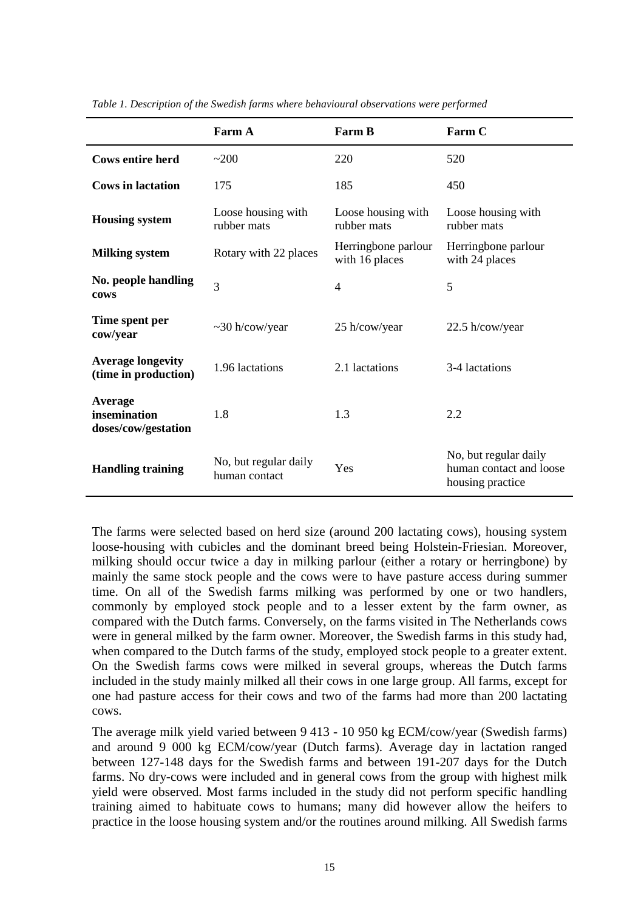|                                                  | Farm A                                 | <b>Farm B</b>                         | Farm C                                                               |
|--------------------------------------------------|----------------------------------------|---------------------------------------|----------------------------------------------------------------------|
| <b>Cows entire herd</b>                          | ~200                                   | 220                                   | 520                                                                  |
| <b>Cows in lactation</b>                         | 175                                    | 185                                   | 450                                                                  |
| <b>Housing system</b>                            | Loose housing with<br>rubber mats      | Loose housing with<br>rubber mats     | Loose housing with<br>rubber mats                                    |
| <b>Milking system</b>                            | Rotary with 22 places                  | Herringbone parlour<br>with 16 places | Herringbone parlour<br>with 24 places                                |
| No. people handling<br>cows                      | 3                                      | $\overline{4}$                        | 5                                                                    |
| Time spent per<br>cow/year                       | $\sim$ 30 h/cow/year                   | 25 h/cow/year                         | 22.5 h/cow/year                                                      |
| <b>Average longevity</b><br>(time in production) | 1.96 lactations                        | 2.1 lactations                        | 3-4 lactations                                                       |
| Average<br>insemination<br>doses/cow/gestation   | 1.8                                    | 1.3                                   | 2.2                                                                  |
| <b>Handling training</b>                         | No, but regular daily<br>human contact | Yes                                   | No, but regular daily<br>human contact and loose<br>housing practice |

*Table 1. Description of the Swedish farms where behavioural observations were performed*

The farms were selected based on herd size (around 200 lactating cows), housing system loose-housing with cubicles and the dominant breed being Holstein-Friesian. Moreover, milking should occur twice a day in milking parlour (either a rotary or herringbone) by mainly the same stock people and the cows were to have pasture access during summer time. On all of the Swedish farms milking was performed by one or two handlers, commonly by employed stock people and to a lesser extent by the farm owner, as compared with the Dutch farms. Conversely, on the farms visited in The Netherlands cows were in general milked by the farm owner. Moreover, the Swedish farms in this study had, when compared to the Dutch farms of the study, employed stock people to a greater extent. On the Swedish farms cows were milked in several groups, whereas the Dutch farms included in the study mainly milked all their cows in one large group. All farms, except for one had pasture access for their cows and two of the farms had more than 200 lactating cows.

The average milk yield varied between 9 413 - 10 950 kg ECM/cow/year (Swedish farms) and around 9 000 kg ECM/cow/year (Dutch farms). Average day in lactation ranged between 127-148 days for the Swedish farms and between 191-207 days for the Dutch farms. No dry-cows were included and in general cows from the group with highest milk yield were observed. Most farms included in the study did not perform specific handling training aimed to habituate cows to humans; many did however allow the heifers to practice in the loose housing system and/or the routines around milking. All Swedish farms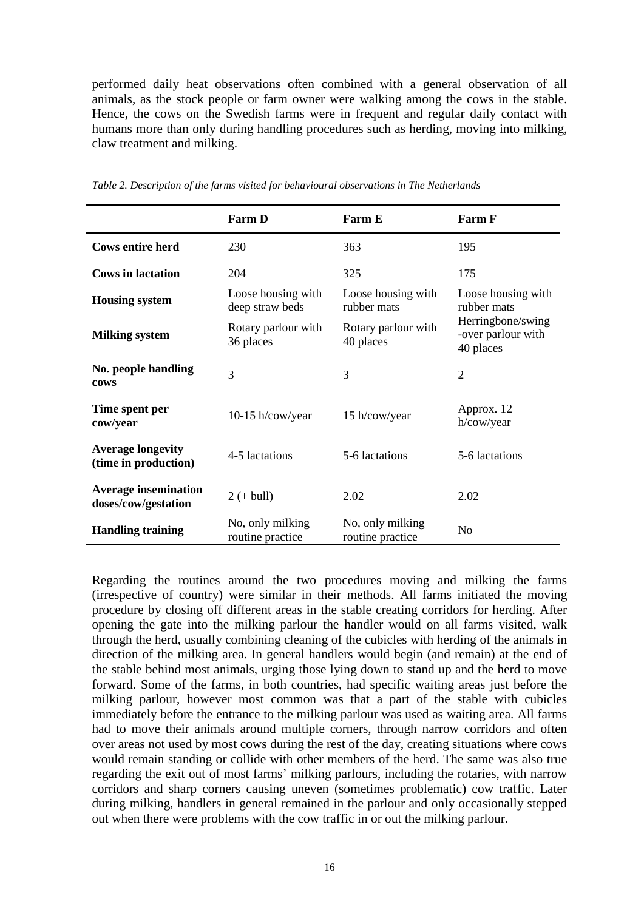performed daily heat observations often combined with a general observation of all animals, as the stock people or farm owner were walking among the cows in the stable. Hence, the cows on the Swedish farms were in frequent and regular daily contact with humans more than only during handling procedures such as herding, moving into milking, claw treatment and milking.

|                                                    | <b>Farm D</b>                         | <b>Farm E</b>                        | Farm F                                               |
|----------------------------------------------------|---------------------------------------|--------------------------------------|------------------------------------------------------|
| <b>Cows entire herd</b>                            | 230                                   | 363                                  | 195                                                  |
| <b>Cows in lactation</b>                           | 204                                   | 325                                  | 175                                                  |
| <b>Housing system</b>                              | Loose housing with<br>deep straw beds | Loose housing with<br>rubber mats    | Loose housing with<br>rubber mats                    |
| <b>Milking system</b>                              | Rotary parlour with<br>36 places      | Rotary parlour with<br>40 places     | Herringbone/swing<br>-over parlour with<br>40 places |
| No. people handling<br>cows                        | 3                                     | 3                                    | $\overline{2}$                                       |
| Time spent per<br>cow/year                         | $10-15$ h/cow/year                    | 15 h/cow/year                        | Approx. 12<br>h/cow/year                             |
| <b>Average longevity</b><br>(time in production)   | 4-5 lactations                        | 5-6 lactations                       | 5-6 lactations                                       |
| <b>Average insemination</b><br>doses/cow/gestation | $2 (+ \text{bull})$                   | 2.02                                 | 2.02                                                 |
| <b>Handling training</b>                           | No, only milking<br>routine practice  | No, only milking<br>routine practice | N <sub>o</sub>                                       |

*Table 2. Description of the farms visited for behavioural observations in The Netherlands*

Regarding the routines around the two procedures moving and milking the farms (irrespective of country) were similar in their methods. All farms initiated the moving procedure by closing off different areas in the stable creating corridors for herding. After opening the gate into the milking parlour the handler would on all farms visited, walk through the herd, usually combining cleaning of the cubicles with herding of the animals in direction of the milking area. In general handlers would begin (and remain) at the end of the stable behind most animals, urging those lying down to stand up and the herd to move forward. Some of the farms, in both countries, had specific waiting areas just before the milking parlour, however most common was that a part of the stable with cubicles immediately before the entrance to the milking parlour was used as waiting area. All farms had to move their animals around multiple corners, through narrow corridors and often over areas not used by most cows during the rest of the day, creating situations where cows would remain standing or collide with other members of the herd. The same was also true regarding the exit out of most farms' milking parlours, including the rotaries, with narrow corridors and sharp corners causing uneven (sometimes problematic) cow traffic. Later during milking, handlers in general remained in the parlour and only occasionally stepped out when there were problems with the cow traffic in or out the milking parlour.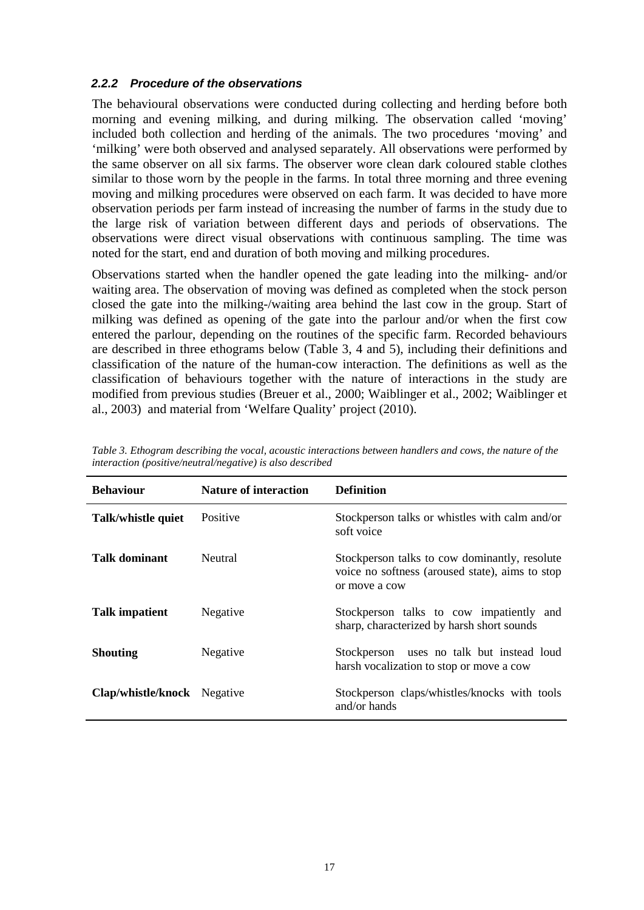#### <span id="page-16-0"></span>*2.2.2 Procedure of the observations*

The behavioural observations were conducted during collecting and herding before both morning and evening milking, and during milking. The observation called 'moving' included both collection and herding of the animals. The two procedures 'moving' and 'milking' were both observed and analysed separately. All observations were performed by the same observer on all six farms. The observer wore clean dark coloured stable clothes similar to those worn by the people in the farms. In total three morning and three evening moving and milking procedures were observed on each farm. It was decided to have more observation periods per farm instead of increasing the number of farms in the study due to the large risk of variation between different days and periods of observations. The observations were direct visual observations with continuous sampling. The time was noted for the start, end and duration of both moving and milking procedures.

Observations started when the handler opened the gate leading into the milking- and/or waiting area. The observation of moving was defined as completed when the stock person closed the gate into the milking-/waiting area behind the last cow in the group. Start of milking was defined as opening of the gate into the parlour and/or when the first cow entered the parlour, depending on the routines of the specific farm. Recorded behaviours are described in three ethograms below (Table 3, 4 and 5), including their definitions and classification of the nature of the human-cow interaction. The definitions as well as the classification of behaviours together with the nature of interactions in the study are modified from previous studies (Breuer et al., 2000; Waiblinger et al., 2002; Waiblinger et al., 2003) and material from 'Welfare Quality' project (2010).

| <b>Behaviour</b>            | <b>Nature of interaction</b> | <b>Definition</b>                                                                                                 |
|-----------------------------|------------------------------|-------------------------------------------------------------------------------------------------------------------|
| Talk/whistle quiet          | Positive                     | Stockperson talks or whistles with calm and/or<br>soft voice                                                      |
| Talk dominant               | <b>Neutral</b>               | Stockperson talks to cow dominantly, resolute<br>voice no softness (aroused state), aims to stop<br>or move a cow |
| <b>Talk impatient</b>       | Negative                     | Stockperson talks to cow impatiently and<br>sharp, characterized by harsh short sounds                            |
| <b>Shouting</b>             | Negative                     | uses no talk but instead loud<br>Stockperson<br>harsh vocalization to stop or move a cow                          |
| Clap/whistle/knock Negative |                              | Stockperson claps/whistles/knocks with tools<br>and/or hands                                                      |

*Table 3. Ethogram describing the vocal, acoustic interactions between handlers and cows, the nature of the interaction (positive/neutral/negative) is also described*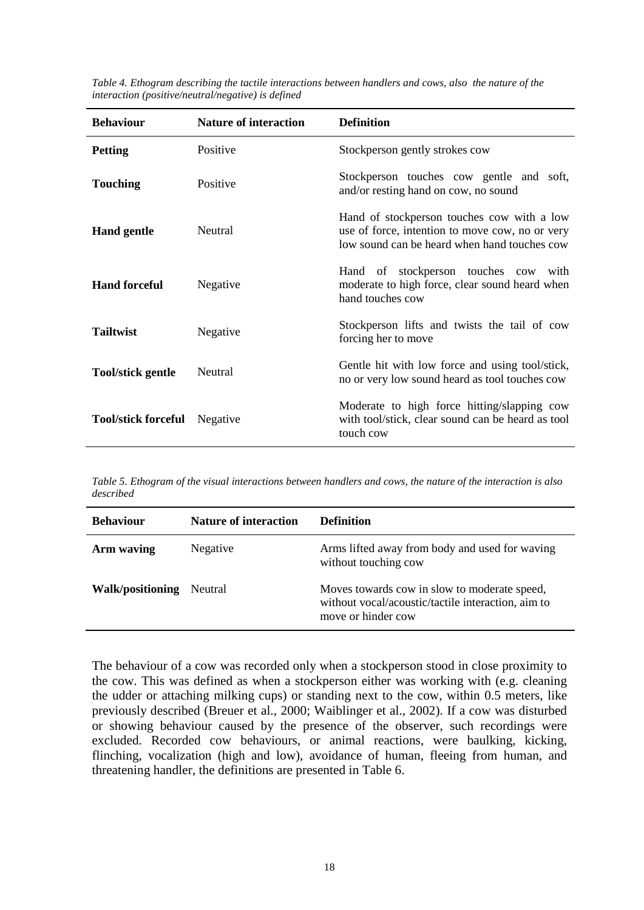| <b>Behaviour</b>           | <b>Nature of interaction</b> | <b>Definition</b>                                                                                                                             |  |
|----------------------------|------------------------------|-----------------------------------------------------------------------------------------------------------------------------------------------|--|
| <b>Petting</b>             | Positive                     | Stockperson gently strokes cow                                                                                                                |  |
| <b>Touching</b>            | Positive                     | Stockperson touches cow gentle and soft,<br>and/or resting hand on cow, no sound                                                              |  |
| <b>Hand gentle</b>         | Neutral                      | Hand of stockperson touches cow with a low<br>use of force, intention to move cow, no or very<br>low sound can be heard when hand touches cow |  |
| <b>Hand forceful</b>       | Negative                     | Hand of stockperson touches cow<br>with<br>moderate to high force, clear sound heard when<br>hand touches cow                                 |  |
| <b>Tailtwist</b>           | Negative                     | Stockperson lifts and twists the tail of cow<br>forcing her to move                                                                           |  |
| <b>Tool/stick gentle</b>   | Neutral                      | Gentle hit with low force and using tool/stick,<br>no or very low sound heard as tool touches cow                                             |  |
| <b>Tool/stick forceful</b> | Negative                     | Moderate to high force hitting/slapping cow<br>with tool/stick, clear sound can be heard as tool<br>touch cow                                 |  |

*Table 4. Ethogram describing the tactile interactions between handlers and cows, also the nature of the interaction (positive/neutral/negative) is defined*

*Table 5. Ethogram of the visual interactions between handlers and cows, the nature of the interaction is also described* 

| <b>Behaviour</b>        | <b>Nature of interaction</b> | <b>Definition</b>                                                                                                        |
|-------------------------|------------------------------|--------------------------------------------------------------------------------------------------------------------------|
| Arm waving              | Negative                     | Arms lifted away from body and used for waving<br>without touching cow                                                   |
| <b>Walk/positioning</b> | Neutral                      | Moves towards cow in slow to moderate speed,<br>without vocal/acoustic/tactile interaction, aim to<br>move or hinder cow |

The behaviour of a cow was recorded only when a stockperson stood in close proximity to the cow. This was defined as when a stockperson either was working with (e.g. cleaning the udder or attaching milking cups) or standing next to the cow, within 0.5 meters, like previously described (Breuer et al., 2000; Waiblinger et al., 2002). If a cow was disturbed or showing behaviour caused by the presence of the observer, such recordings were excluded. Recorded cow behaviours, or animal reactions, were baulking, kicking, flinching, vocalization (high and low), avoidance of human, fleeing from human, and threatening handler, the definitions are presented in Table 6.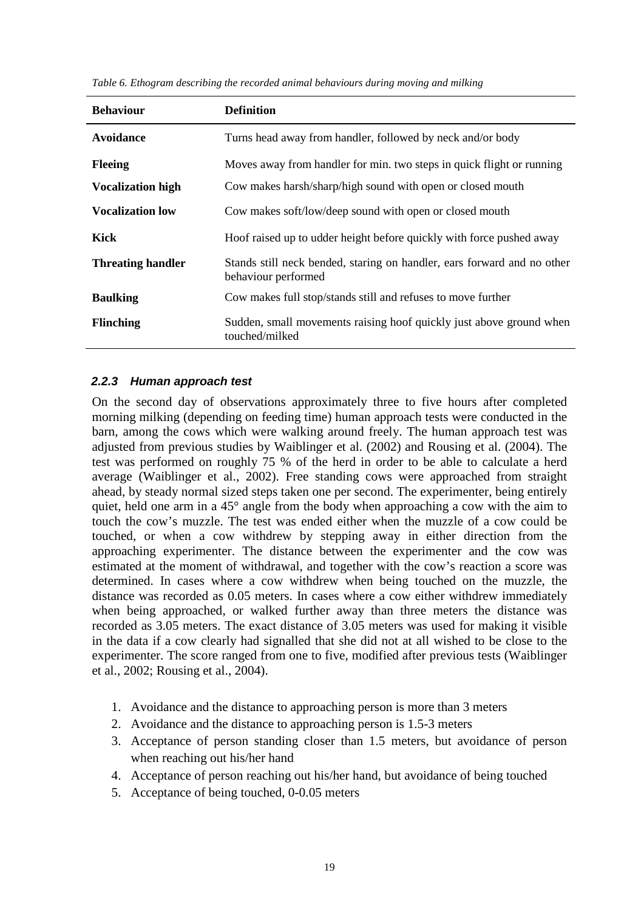| <b>Behaviour</b>         | <b>Definition</b>                                                                              |
|--------------------------|------------------------------------------------------------------------------------------------|
| Avoidance                | Turns head away from handler, followed by neck and/or body                                     |
| <b>Fleeing</b>           | Moves away from handler for min. two steps in quick flight or running                          |
| <b>Vocalization high</b> | Cow makes harsh/sharp/high sound with open or closed mouth                                     |
| <b>Vocalization low</b>  | Cow makes soft/low/deep sound with open or closed mouth                                        |
| Kick                     | Hoof raised up to udder height before quickly with force pushed away                           |
| <b>Threating handler</b> | Stands still neck bended, staring on handler, ears forward and no other<br>behaviour performed |
| <b>Baulking</b>          | Cow makes full stop/stands still and refuses to move further                                   |
| <b>Flinching</b>         | Sudden, small movements raising hoof quickly just above ground when<br>touched/milked          |

#### <span id="page-18-0"></span>*2.2.3 Human approach test*

On the second day of observations approximately three to five hours after completed morning milking (depending on feeding time) human approach tests were conducted in the barn, among the cows which were walking around freely. The human approach test was adjusted from previous studies by Waiblinger et al. (2002) and Rousing et al. (2004). The test was performed on roughly 75 % of the herd in order to be able to calculate a herd average (Waiblinger et al., 2002). Free standing cows were approached from straight ahead, by steady normal sized steps taken one per second. The experimenter, being entirely quiet, held one arm in a 45° angle from the body when approaching a cow with the aim to touch the cow's muzzle. The test was ended either when the muzzle of a cow could be touched, or when a cow withdrew by stepping away in either direction from the approaching experimenter. The distance between the experimenter and the cow was estimated at the moment of withdrawal, and together with the cow's reaction a score was determined. In cases where a cow withdrew when being touched on the muzzle, the distance was recorded as 0.05 meters. In cases where a cow either withdrew immediately when being approached, or walked further away than three meters the distance was recorded as 3.05 meters. The exact distance of 3.05 meters was used for making it visible in the data if a cow clearly had signalled that she did not at all wished to be close to the experimenter. The score ranged from one to five, modified after previous tests (Waiblinger et al., 2002; Rousing et al., 2004).

- 1. Avoidance and the distance to approaching person is more than 3 meters
- 2. Avoidance and the distance to approaching person is 1.5-3 meters
- 3. Acceptance of person standing closer than 1.5 meters, but avoidance of person when reaching out his/her hand
- 4. Acceptance of person reaching out his/her hand, but avoidance of being touched
- 5. Acceptance of being touched, 0-0.05 meters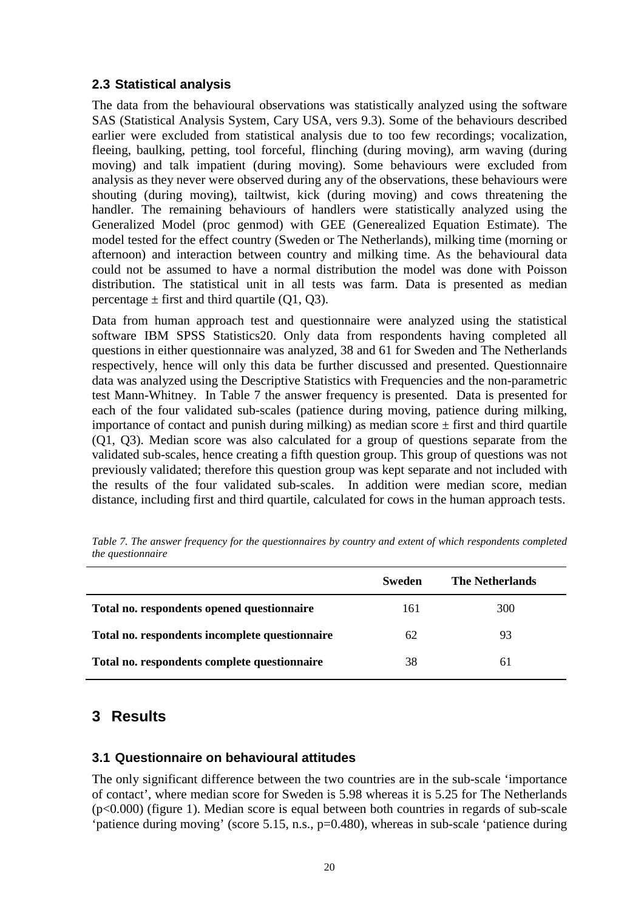#### <span id="page-19-0"></span>**2.3 Statistical analysis**

The data from the behavioural observations was statistically analyzed using the software SAS (Statistical Analysis System, Cary USA, vers 9.3). Some of the behaviours described earlier were excluded from statistical analysis due to too few recordings; vocalization, fleeing, baulking, petting, tool forceful, flinching (during moving), arm waving (during moving) and talk impatient (during moving). Some behaviours were excluded from analysis as they never were observed during any of the observations, these behaviours were shouting (during moving), tailtwist, kick (during moving) and cows threatening the handler. The remaining behaviours of handlers were statistically analyzed using the Generalized Model (proc genmod) with GEE (Generealized Equation Estimate). The model tested for the effect country (Sweden or The Netherlands), milking time (morning or afternoon) and interaction between country and milking time. As the behavioural data could not be assumed to have a normal distribution the model was done with Poisson distribution. The statistical unit in all tests was farm. Data is presented as median percentage  $\pm$  first and third quartile (Q1, Q3).

Data from human approach test and questionnaire were analyzed using the statistical software IBM SPSS Statistics20. Only data from respondents having completed all questions in either questionnaire was analyzed, 38 and 61 for Sweden and The Netherlands respectively, hence will only this data be further discussed and presented. Questionnaire data was analyzed using the Descriptive Statistics with Frequencies and the non-parametric test Mann-Whitney. In Table 7 the answer frequency is presented. Data is presented for each of the four validated sub-scales (patience during moving, patience during milking, importance of contact and punish during milking) as median score  $\pm$  first and third quartile (Q1, Q3). Median score was also calculated for a group of questions separate from the validated sub-scales, hence creating a fifth question group. This group of questions was not previously validated; therefore this question group was kept separate and not included with the results of the four validated sub-scales. In addition were median score, median distance, including first and third quartile, calculated for cows in the human approach tests.

|                                                | Sweden | <b>The Netherlands</b> |
|------------------------------------------------|--------|------------------------|
| Total no. respondents opened questionnaire     | 161    | 300                    |
| Total no. respondents incomplete questionnaire | 62     | 93                     |
| Total no. respondents complete questionnaire   | 38     | 61                     |

*Table 7. The answer frequency for the questionnaires by country and extent of which respondents completed the questionnaire* 

### <span id="page-19-1"></span>**3 Results**

#### <span id="page-19-2"></span>**3.1 Questionnaire on behavioural attitudes**

The only significant difference between the two countries are in the sub-scale 'importance of contact', where median score for Sweden is 5.98 whereas it is 5.25 for The Netherlands (p<0.000) (figure 1). Median score is equal between both countries in regards of sub-scale 'patience during moving' (score 5.15, n.s., p=0.480), whereas in sub-scale 'patience during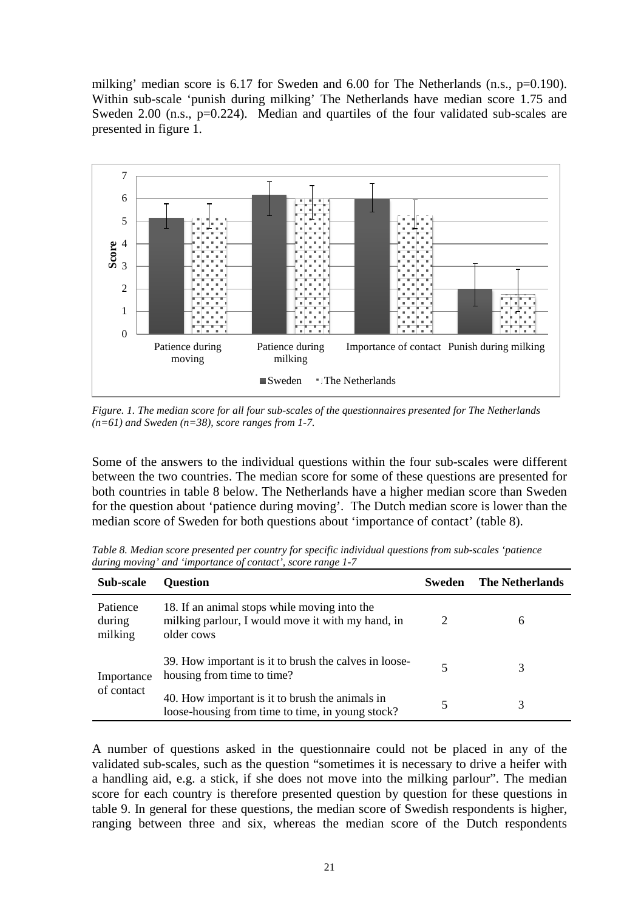milking' median score is  $6.17$  for Sweden and  $6.00$  for The Netherlands (n.s.,  $p=0.190$ ). Within sub-scale 'punish during milking' The Netherlands have median score 1.75 and Sweden 2.00 (n.s., p=0.224). Median and quartiles of the four validated sub-scales are presented in figure 1.



*Figure. 1. The median score for all four sub-scales of the questionnaires presented for The Netherlands (n=61) and Sweden (n=38), score ranges from 1-7.*

Some of the answers to the individual questions within the four sub-scales were different between the two countries. The median score for some of these questions are presented for both countries in table 8 below. The Netherlands have a higher median score than Sweden for the question about 'patience during moving'. The Dutch median score is lower than the median score of Sweden for both questions about 'importance of contact' (table 8).

| Sub-scale                     | <b>Question</b>                                                                                                 | Sweden | <b>The Netherlands</b> |
|-------------------------------|-----------------------------------------------------------------------------------------------------------------|--------|------------------------|
| Patience<br>during<br>milking | 18. If an animal stops while moving into the<br>milking parlour, I would move it with my hand, in<br>older cows | 2      | 6                      |
| Importance<br>of contact      | 39. How important is it to brush the calves in loose-<br>housing from time to time?                             |        |                        |
|                               | 40. How important is it to brush the animals in<br>loose-housing from time to time, in young stock?             |        |                        |

*Table 8. Median score presented per country for specific individual questions from sub-scales 'patience during moving' and 'importance of contact', score range 1-7*

A number of questions asked in the questionnaire could not be placed in any of the validated sub-scales, such as the question "sometimes it is necessary to drive a heifer with a handling aid, e.g. a stick, if she does not move into the milking parlour". The median score for each country is therefore presented question by question for these questions in table 9. In general for these questions, the median score of Swedish respondents is higher, ranging between three and six, whereas the median score of the Dutch respondents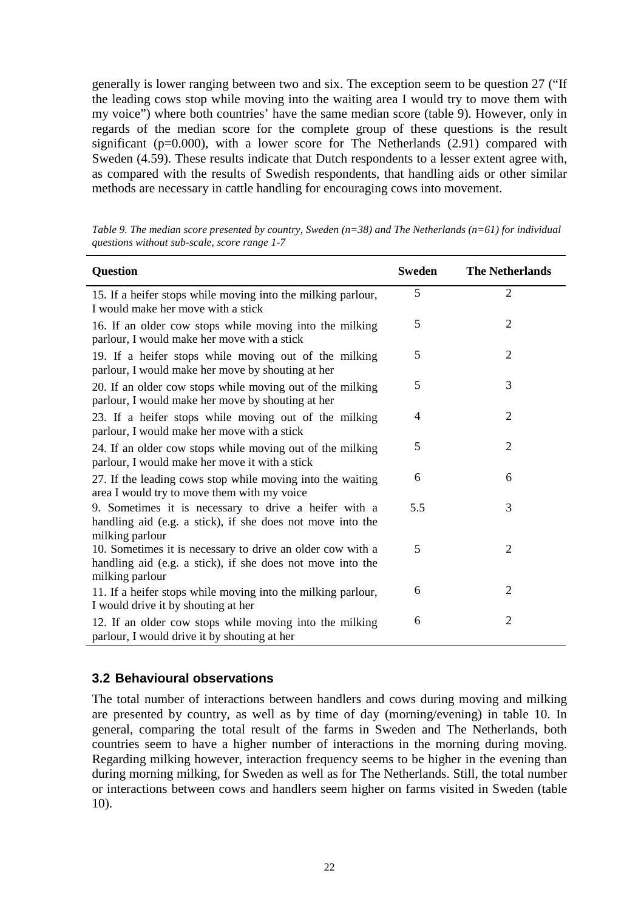generally is lower ranging between two and six. The exception seem to be question 27 ("If the leading cows stop while moving into the waiting area I would try to move them with my voice") where both countries' have the same median score (table 9). However, only in regards of the median score for the complete group of these questions is the result significant ( $p=0.000$ ), with a lower score for The Netherlands (2.91) compared with Sweden (4.59). These results indicate that Dutch respondents to a lesser extent agree with, as compared with the results of Swedish respondents, that handling aids or other similar methods are necessary in cattle handling for encouraging cows into movement.

| Question                                                                                                                                    | Sweden | <b>The Netherlands</b> |
|---------------------------------------------------------------------------------------------------------------------------------------------|--------|------------------------|
| 15. If a heifer stops while moving into the milking parlour,<br>I would make her move with a stick                                          | 5      | $\overline{2}$         |
| 16. If an older cow stops while moving into the milking<br>parlour, I would make her move with a stick                                      | 5      | 2                      |
| 19. If a heifer stops while moving out of the milking<br>parlour, I would make her move by shouting at her                                  | 5      | $\overline{2}$         |
| 20. If an older cow stops while moving out of the milking<br>parlour, I would make her move by shouting at her                              | 5      | 3                      |
| 23. If a heifer stops while moving out of the milking<br>parlour, I would make her move with a stick                                        | 4      | 2                      |
| 24. If an older cow stops while moving out of the milking<br>parlour, I would make her move it with a stick                                 | 5      | $\overline{2}$         |
| 27. If the leading cows stop while moving into the waiting<br>area I would try to move them with my voice                                   | 6      | 6                      |
| 9. Sometimes it is necessary to drive a heifer with a<br>handling aid (e.g. a stick), if she does not move into the<br>milking parlour      | 5.5    | 3                      |
| 10. Sometimes it is necessary to drive an older cow with a<br>handling aid (e.g. a stick), if she does not move into the<br>milking parlour | 5      | $\overline{2}$         |
| 11. If a heifer stops while moving into the milking parlour,<br>I would drive it by shouting at her                                         | 6      | 2                      |
| 12. If an older cow stops while moving into the milking<br>parlour, I would drive it by shouting at her                                     | 6      | $\overline{2}$         |

*Table 9. The median score presented by country, Sweden (n=38) and The Netherlands (n=61) for individual questions without sub-scale, score range 1-7*

#### <span id="page-21-0"></span>**3.2 Behavioural observations**

The total number of interactions between handlers and cows during moving and milking are presented by country, as well as by time of day (morning/evening) in table 10. In general, comparing the total result of the farms in Sweden and The Netherlands, both countries seem to have a higher number of interactions in the morning during moving. Regarding milking however, interaction frequency seems to be higher in the evening than during morning milking, for Sweden as well as for The Netherlands. Still, the total number or interactions between cows and handlers seem higher on farms visited in Sweden (table 10).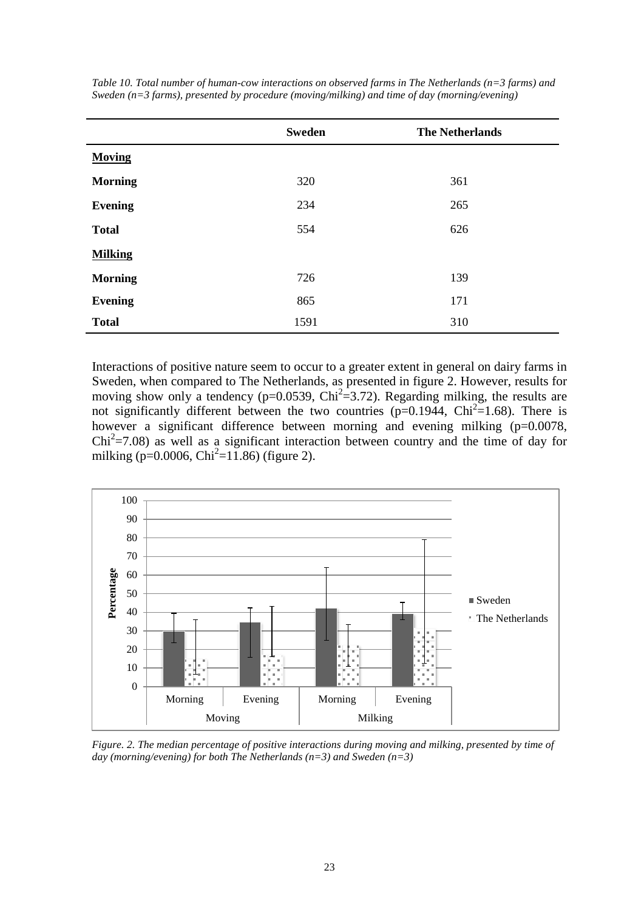|                | <b>Sweden</b> | <b>The Netherlands</b> |
|----------------|---------------|------------------------|
| <b>Moving</b>  |               |                        |
| <b>Morning</b> | 320           | 361                    |
| <b>Evening</b> | 234           | 265                    |
| <b>Total</b>   | 554           | 626                    |
| <b>Milking</b> |               |                        |
| <b>Morning</b> | 726           | 139                    |
| <b>Evening</b> | 865           | 171                    |
| <b>Total</b>   | 1591          | 310                    |

*Table 10. Total number of human-cow interactions on observed farms in The Netherlands (n=3 farms) and Sweden (n=3 farms), presented by procedure (moving/milking) and time of day (morning/evening)*

Interactions of positive nature seem to occur to a greater extent in general on dairy farms in Sweden, when compared to The Netherlands, as presented in figure 2. However, results for moving show only a tendency ( $p=0.0539$ , Chi<sup>2</sup>=3.72). Regarding milking, the results are not significantly different between the two countries ( $p=0.1944$ , Chi<sup>2</sup> $=1.68$ ). There is however a significant difference between morning and evening milking (p=0.0078,  $Chi^2 = 7.08$ ) as well as a significant interaction between country and the time of day for milking (p= $0.0006$ , Chi<sup>2</sup>=11.86) (figure 2).



*Figure. 2. The median percentage of positive interactions during moving and milking, presented by time of day (morning/evening) for both The Netherlands (n=3) and Sweden (n=3)*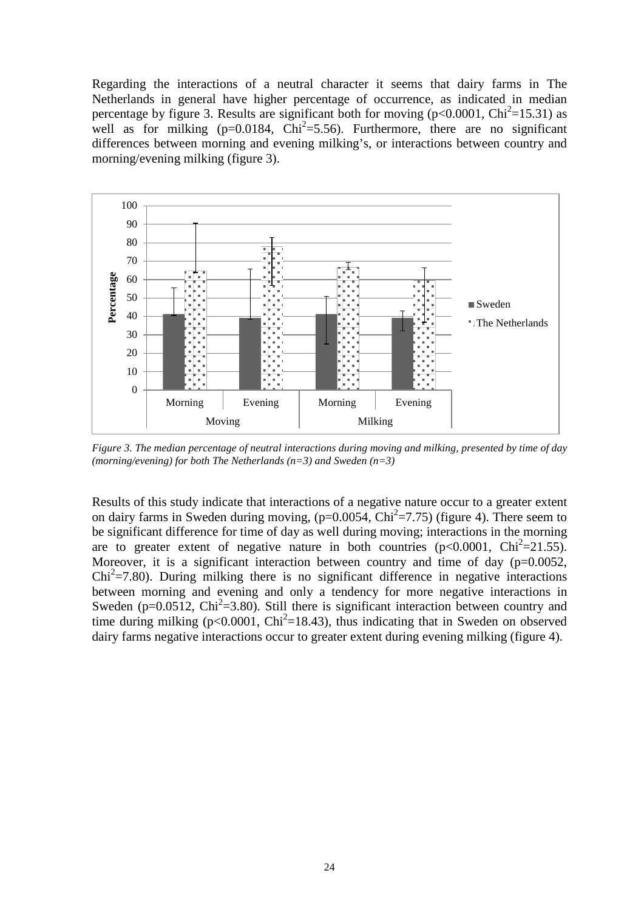Regarding the interactions of a neutral character it seems that dairy farms in The Netherlands in general have higher percentage of occurrence, as indicated in median percentage by figure 3. Results are significant both for moving  $(p< 0.0001, C)$ hi<sup>2</sup>=15.31) as well as for milking ( $p=0.0184$ ,  $Chi^2=5.56$ ). Furthermore, there are no significant differences between morning and evening milking's, or interactions between country and morning/evening milking (figure 3).



*Figure 3. The median percentage of neutral interactions during moving and milking, presented by time of day (morning/evening) for both The Netherlands (n=3) and Sweden (n=3)*

Results of this study indicate that interactions of a negative nature occur to a greater extent on dairy farms in Sweden during moving,  $(p=0.0054, Chi^2=7.75)$  (figure 4). There seem to be significant difference for time of day as well during moving; interactions in the morning are to greater extent of negative nature in both countries  $(p<0.0001, Chi^2=21.55)$ . Moreover, it is a significant interaction between country and time of day (p=0.0052,  $Chi<sup>2</sup>=7.80$ ). During milking there is no significant difference in negative interactions between morning and evening and only a tendency for more negative interactions in Sweden ( $p=0.0512$ , Chi<sup>2</sup>=3.80). Still there is significant interaction between country and time during milking ( $p<0.0001$ , Chi<sup>2</sup>=18.43), thus indicating that in Sweden on observed dairy farms negative interactions occur to greater extent during evening milking (figure 4).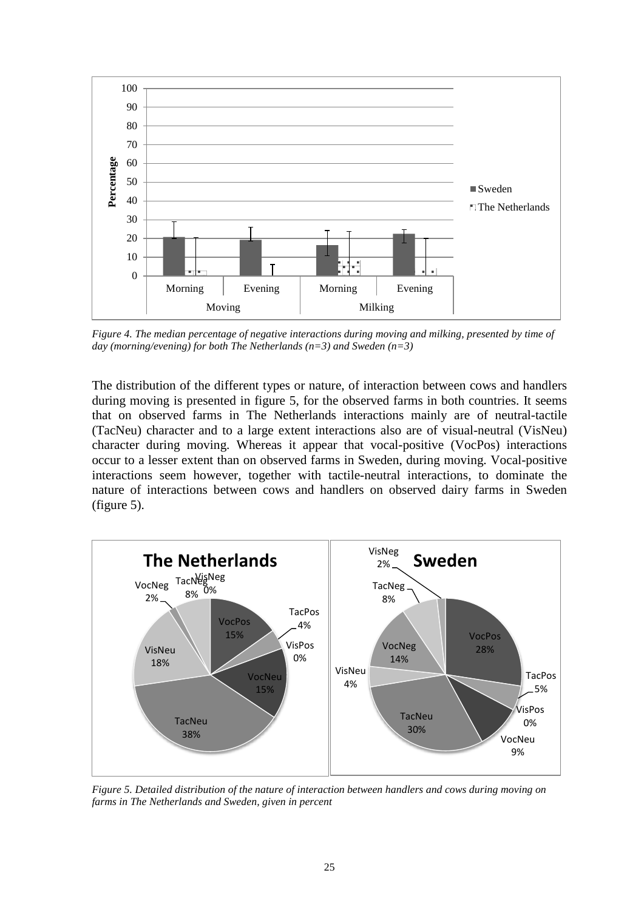

*Figure 4. The median percentage of negative interactions during moving and milking, presented by time of day (morning/evening) for both The Netherlands (n=3) and Sweden (n=3)*

The distribution of the different types or nature, of interaction between cows and handlers during moving is presented in figure 5, for the observed farms in both countries. It seems that on observed farms in The Netherlands interactions mainly are of neutral-tactile (TacNeu) character and to a large extent interactions also are of visual-neutral (VisNeu) character during moving. Whereas it appear that vocal-positive (VocPos) interactions occur to a lesser extent than on observed farms in Sweden, during moving. Vocal-positive interactions seem however, together with tactile-neutral interactions, to dominate the nature of interactions between cows and handlers on observed dairy farms in Sweden (figure 5).



*Figure 5. Detailed distribution of the nature of interaction between handlers and cows during moving on farms in The Netherlands and Sweden, given in percent*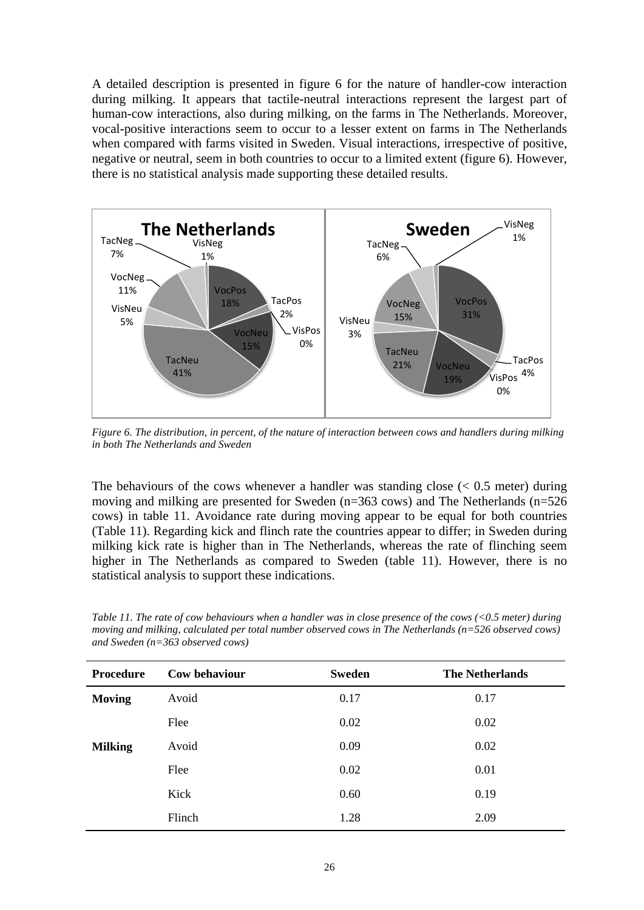A detailed description is presented in figure 6 for the nature of handler-cow interaction during milking. It appears that tactile-neutral interactions represent the largest part of human-cow interactions, also during milking, on the farms in The Netherlands. Moreover, vocal-positive interactions seem to occur to a lesser extent on farms in The Netherlands when compared with farms visited in Sweden. Visual interactions, irrespective of positive, negative or neutral, seem in both countries to occur to a limited extent (figure 6). However, there is no statistical analysis made supporting these detailed results.



*Figure 6. The distribution, in percent, of the nature of interaction between cows and handlers during milking in both The Netherlands and Sweden*

The behaviours of the cows whenever a handler was standing close  $(< 0.5$  meter) during moving and milking are presented for Sweden (n=363 cows) and The Netherlands (n=526 cows) in table 11. Avoidance rate during moving appear to be equal for both countries (Table 11). Regarding kick and flinch rate the countries appear to differ; in Sweden during milking kick rate is higher than in The Netherlands, whereas the rate of flinching seem higher in The Netherlands as compared to Sweden (table 11). However, there is no statistical analysis to support these indications.

| <b>Procedure</b> | Cow behaviour | <b>Sweden</b> | <b>The Netherlands</b> |
|------------------|---------------|---------------|------------------------|
| <b>Moving</b>    | Avoid         | 0.17          | 0.17                   |
|                  | Flee          | 0.02          | 0.02                   |
| <b>Milking</b>   | Avoid         | 0.09          | 0.02                   |
|                  | Flee          | 0.02          | 0.01                   |
|                  | Kick          | 0.60          | 0.19                   |
|                  | Flinch        | 1.28          | 2.09                   |
|                  |               |               |                        |

*Table 11. The rate of cow behaviours when a handler was in close presence of the cows (<0.5 meter) during moving and milking, calculated per total number observed cows in The Netherlands (n=526 observed cows) and Sweden (n=363 observed cows)*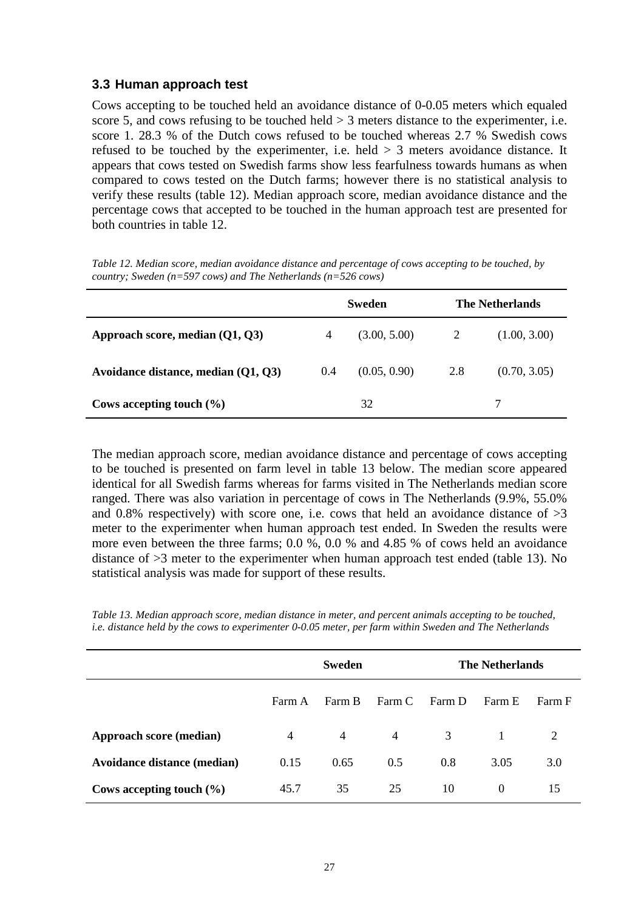#### <span id="page-26-0"></span>**3.3 Human approach test**

Cows accepting to be touched held an avoidance distance of 0-0.05 meters which equaled score 5, and cows refusing to be touched held  $>$  3 meters distance to the experimenter, i.e. score 1. 28.3 % of the Dutch cows refused to be touched whereas 2.7 % Swedish cows refused to be touched by the experimenter, i.e. held > 3 meters avoidance distance. It appears that cows tested on Swedish farms show less fearfulness towards humans as when compared to cows tested on the Dutch farms; however there is no statistical analysis to verify these results (table 12). Median approach score, median avoidance distance and the percentage cows that accepted to be touched in the human approach test are presented for both countries in table 12.

|                                     | Sweden |              | <b>The Netherlands</b> |              |
|-------------------------------------|--------|--------------|------------------------|--------------|
| Approach score, median $(Q1, Q3)$   | 4      | (3.00, 5.00) | 2                      | (1.00, 3.00) |
| Avoidance distance, median (Q1, Q3) | 0.4    | (0.05, 0.90) | 2.8                    | (0.70, 3.05) |
| Cows accepting touch $(\% )$        |        | 32           |                        |              |

*Table 12. Median score, median avoidance distance and percentage of cows accepting to be touched, by country; Sweden (n=597 cows) and The Netherlands (n=526 cows)*

The median approach score, median avoidance distance and percentage of cows accepting to be touched is presented on farm level in table 13 below. The median score appeared identical for all Swedish farms whereas for farms visited in The Netherlands median score ranged. There was also variation in percentage of cows in The Netherlands (9.9%, 55.0% and 0.8% respectively) with score one, i.e. cows that held an avoidance distance of  $>3$ meter to the experimenter when human approach test ended. In Sweden the results were more even between the three farms; 0.0 %, 0.0 % and 4.85 % of cows held an avoidance distance of >3 meter to the experimenter when human approach test ended (table 13). No statistical analysis was made for support of these results.

*Table 13. Median approach score, median distance in meter, and percent animals accepting to be touched, i.e. distance held by the cows to experimenter 0-0.05 meter, per farm within Sweden and The Netherlands*

|                                    | <b>Sweden</b>  |        |                | <b>The Netherlands</b> |                |        |
|------------------------------------|----------------|--------|----------------|------------------------|----------------|--------|
|                                    | Farm A         | Farm B | Farm C         | Farm D                 | Farm E         | Farm F |
| Approach score (median)            | $\overline{4}$ | 4      | $\overline{4}$ | 3                      | $\overline{1}$ | 2      |
| <b>Avoidance distance (median)</b> | 0.15           | 0.65   | 0.5            | 0.8                    | 3.05           | 3.0    |
| Cows accepting touch $(\% )$       | 45.7           | 35     | 25             | 10                     | $\Omega$       | 15     |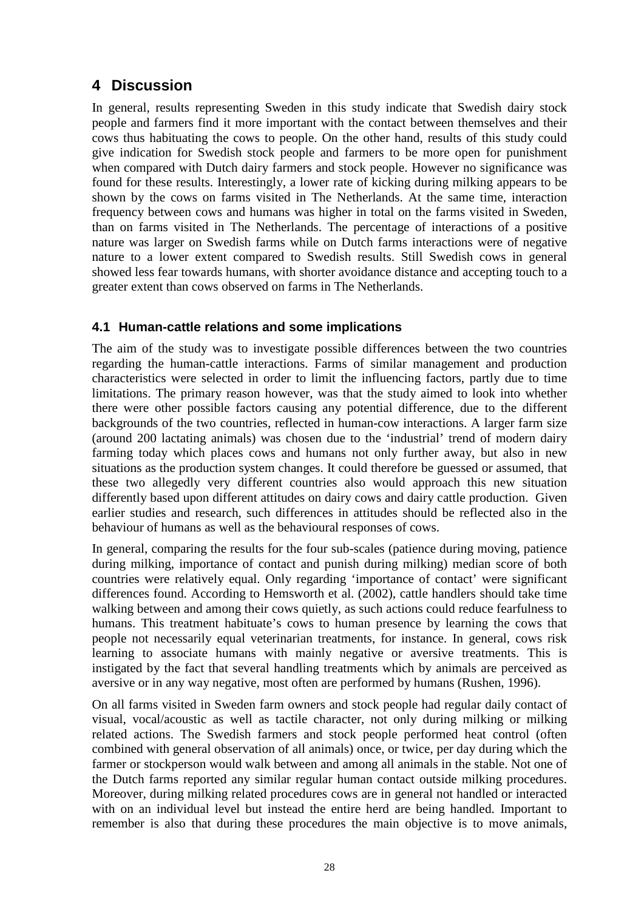### <span id="page-27-0"></span>**4 Discussion**

In general, results representing Sweden in this study indicate that Swedish dairy stock people and farmers find it more important with the contact between themselves and their cows thus habituating the cows to people. On the other hand, results of this study could give indication for Swedish stock people and farmers to be more open for punishment when compared with Dutch dairy farmers and stock people. However no significance was found for these results. Interestingly, a lower rate of kicking during milking appears to be shown by the cows on farms visited in The Netherlands. At the same time, interaction frequency between cows and humans was higher in total on the farms visited in Sweden, than on farms visited in The Netherlands. The percentage of interactions of a positive nature was larger on Swedish farms while on Dutch farms interactions were of negative nature to a lower extent compared to Swedish results. Still Swedish cows in general showed less fear towards humans, with shorter avoidance distance and accepting touch to a greater extent than cows observed on farms in The Netherlands.

#### <span id="page-27-1"></span>**4.1 Human-cattle relations and some implications**

The aim of the study was to investigate possible differences between the two countries regarding the human-cattle interactions. Farms of similar management and production characteristics were selected in order to limit the influencing factors, partly due to time limitations. The primary reason however, was that the study aimed to look into whether there were other possible factors causing any potential difference, due to the different backgrounds of the two countries, reflected in human-cow interactions. A larger farm size (around 200 lactating animals) was chosen due to the 'industrial' trend of modern dairy farming today which places cows and humans not only further away, but also in new situations as the production system changes. It could therefore be guessed or assumed, that these two allegedly very different countries also would approach this new situation differently based upon different attitudes on dairy cows and dairy cattle production. Given earlier studies and research, such differences in attitudes should be reflected also in the behaviour of humans as well as the behavioural responses of cows.

In general, comparing the results for the four sub-scales (patience during moving, patience during milking, importance of contact and punish during milking) median score of both countries were relatively equal. Only regarding 'importance of contact' were significant differences found. According to Hemsworth et al. (2002), cattle handlers should take time walking between and among their cows quietly, as such actions could reduce fearfulness to humans. This treatment habituate's cows to human presence by learning the cows that people not necessarily equal veterinarian treatments, for instance. In general, cows risk learning to associate humans with mainly negative or aversive treatments. This is instigated by the fact that several handling treatments which by animals are perceived as aversive or in any way negative, most often are performed by humans (Rushen, 1996).

On all farms visited in Sweden farm owners and stock people had regular daily contact of visual, vocal/acoustic as well as tactile character, not only during milking or milking related actions. The Swedish farmers and stock people performed heat control (often combined with general observation of all animals) once, or twice, per day during which the farmer or stockperson would walk between and among all animals in the stable. Not one of the Dutch farms reported any similar regular human contact outside milking procedures. Moreover, during milking related procedures cows are in general not handled or interacted with on an individual level but instead the entire herd are being handled. Important to remember is also that during these procedures the main objective is to move animals,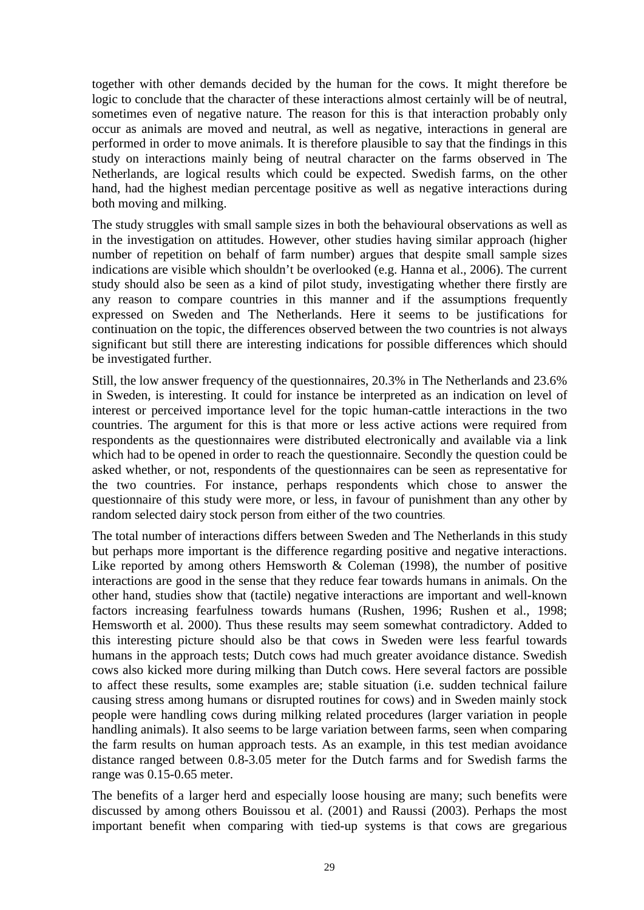together with other demands decided by the human for the cows. It might therefore be logic to conclude that the character of these interactions almost certainly will be of neutral, sometimes even of negative nature. The reason for this is that interaction probably only occur as animals are moved and neutral, as well as negative, interactions in general are performed in order to move animals. It is therefore plausible to say that the findings in this study on interactions mainly being of neutral character on the farms observed in The Netherlands, are logical results which could be expected. Swedish farms, on the other hand, had the highest median percentage positive as well as negative interactions during both moving and milking.

The study struggles with small sample sizes in both the behavioural observations as well as in the investigation on attitudes. However, other studies having similar approach (higher number of repetition on behalf of farm number) argues that despite small sample sizes indications are visible which shouldn't be overlooked (e.g. Hanna et al., 2006). The current study should also be seen as a kind of pilot study, investigating whether there firstly are any reason to compare countries in this manner and if the assumptions frequently expressed on Sweden and The Netherlands. Here it seems to be justifications for continuation on the topic, the differences observed between the two countries is not always significant but still there are interesting indications for possible differences which should be investigated further.

Still, the low answer frequency of the questionnaires, 20.3% in The Netherlands and 23.6% in Sweden, is interesting. It could for instance be interpreted as an indication on level of interest or perceived importance level for the topic human-cattle interactions in the two countries. The argument for this is that more or less active actions were required from respondents as the questionnaires were distributed electronically and available via a link which had to be opened in order to reach the questionnaire. Secondly the question could be asked whether, or not, respondents of the questionnaires can be seen as representative for the two countries. For instance, perhaps respondents which chose to answer the questionnaire of this study were more, or less, in favour of punishment than any other by random selected dairy stock person from either of the two countries.

The total number of interactions differs between Sweden and The Netherlands in this study but perhaps more important is the difference regarding positive and negative interactions. Like reported by among others Hemsworth & Coleman (1998), the number of positive interactions are good in the sense that they reduce fear towards humans in animals. On the other hand, studies show that (tactile) negative interactions are important and well-known factors increasing fearfulness towards humans (Rushen, 1996; Rushen et al., 1998; Hemsworth et al. 2000). Thus these results may seem somewhat contradictory. Added to this interesting picture should also be that cows in Sweden were less fearful towards humans in the approach tests; Dutch cows had much greater avoidance distance. Swedish cows also kicked more during milking than Dutch cows. Here several factors are possible to affect these results, some examples are; stable situation (i.e. sudden technical failure causing stress among humans or disrupted routines for cows) and in Sweden mainly stock people were handling cows during milking related procedures (larger variation in people handling animals). It also seems to be large variation between farms, seen when comparing the farm results on human approach tests. As an example, in this test median avoidance distance ranged between 0.8-3.05 meter for the Dutch farms and for Swedish farms the range was 0.15-0.65 meter.

The benefits of a larger herd and especially loose housing are many; such benefits were discussed by among others Bouissou et al. (2001) and Raussi (2003). Perhaps the most important benefit when comparing with tied-up systems is that cows are gregarious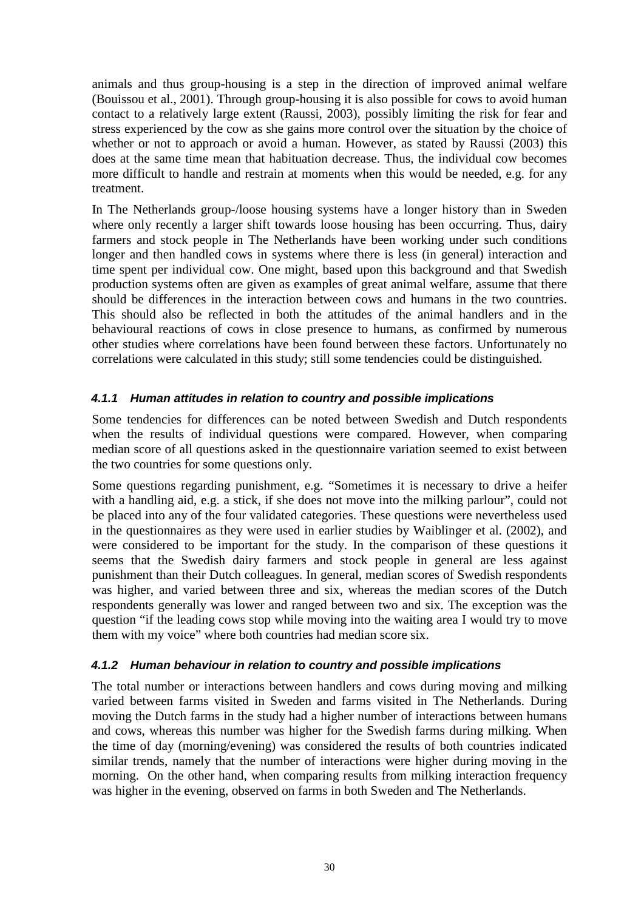animals and thus group-housing is a step in the direction of improved animal welfare (Bouissou et al., 2001). Through group-housing it is also possible for cows to avoid human contact to a relatively large extent (Raussi, 2003), possibly limiting the risk for fear and stress experienced by the cow as she gains more control over the situation by the choice of whether or not to approach or avoid a human. However, as stated by Raussi (2003) this does at the same time mean that habituation decrease. Thus, the individual cow becomes more difficult to handle and restrain at moments when this would be needed, e.g. for any treatment.

In The Netherlands group-/loose housing systems have a longer history than in Sweden where only recently a larger shift towards loose housing has been occurring. Thus, dairy farmers and stock people in The Netherlands have been working under such conditions longer and then handled cows in systems where there is less (in general) interaction and time spent per individual cow. One might, based upon this background and that Swedish production systems often are given as examples of great animal welfare, assume that there should be differences in the interaction between cows and humans in the two countries. This should also be reflected in both the attitudes of the animal handlers and in the behavioural reactions of cows in close presence to humans, as confirmed by numerous other studies where correlations have been found between these factors. Unfortunately no correlations were calculated in this study; still some tendencies could be distinguished.

#### <span id="page-29-0"></span>*4.1.1 Human attitudes in relation to country and possible implications*

Some tendencies for differences can be noted between Swedish and Dutch respondents when the results of individual questions were compared. However, when comparing median score of all questions asked in the questionnaire variation seemed to exist between the two countries for some questions only.

Some questions regarding punishment, e.g. "Sometimes it is necessary to drive a heifer with a handling aid, e.g. a stick, if she does not move into the milking parlour", could not be placed into any of the four validated categories. These questions were nevertheless used in the questionnaires as they were used in earlier studies by Waiblinger et al. (2002), and were considered to be important for the study. In the comparison of these questions it seems that the Swedish dairy farmers and stock people in general are less against punishment than their Dutch colleagues. In general, median scores of Swedish respondents was higher, and varied between three and six, whereas the median scores of the Dutch respondents generally was lower and ranged between two and six. The exception was the question "if the leading cows stop while moving into the waiting area I would try to move them with my voice" where both countries had median score six.

#### <span id="page-29-1"></span>*4.1.2 Human behaviour in relation to country and possible implications*

The total number or interactions between handlers and cows during moving and milking varied between farms visited in Sweden and farms visited in The Netherlands. During moving the Dutch farms in the study had a higher number of interactions between humans and cows, whereas this number was higher for the Swedish farms during milking. When the time of day (morning/evening) was considered the results of both countries indicated similar trends, namely that the number of interactions were higher during moving in the morning. On the other hand, when comparing results from milking interaction frequency was higher in the evening, observed on farms in both Sweden and The Netherlands.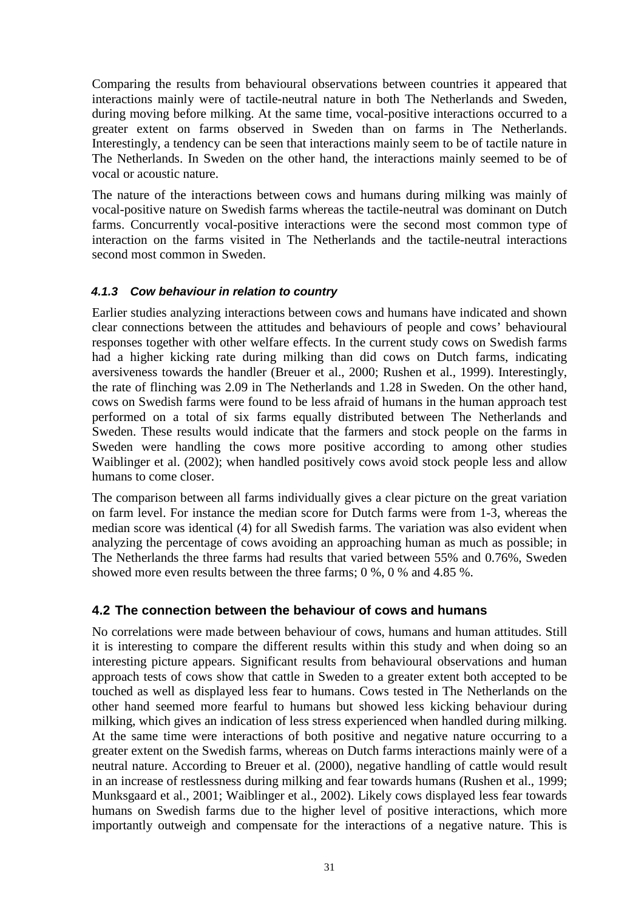Comparing the results from behavioural observations between countries it appeared that interactions mainly were of tactile-neutral nature in both The Netherlands and Sweden, during moving before milking. At the same time, vocal-positive interactions occurred to a greater extent on farms observed in Sweden than on farms in The Netherlands. Interestingly, a tendency can be seen that interactions mainly seem to be of tactile nature in The Netherlands. In Sweden on the other hand, the interactions mainly seemed to be of vocal or acoustic nature.

The nature of the interactions between cows and humans during milking was mainly of vocal-positive nature on Swedish farms whereas the tactile-neutral was dominant on Dutch farms. Concurrently vocal-positive interactions were the second most common type of interaction on the farms visited in The Netherlands and the tactile-neutral interactions second most common in Sweden.

#### <span id="page-30-0"></span>*4.1.3 Cow behaviour in relation to country*

Earlier studies analyzing interactions between cows and humans have indicated and shown clear connections between the attitudes and behaviours of people and cows' behavioural responses together with other welfare effects. In the current study cows on Swedish farms had a higher kicking rate during milking than did cows on Dutch farms, indicating aversiveness towards the handler (Breuer et al., 2000; Rushen et al., 1999). Interestingly, the rate of flinching was 2.09 in The Netherlands and 1.28 in Sweden. On the other hand, cows on Swedish farms were found to be less afraid of humans in the human approach test performed on a total of six farms equally distributed between The Netherlands and Sweden. These results would indicate that the farmers and stock people on the farms in Sweden were handling the cows more positive according to among other studies Waiblinger et al. (2002); when handled positively cows avoid stock people less and allow humans to come closer.

The comparison between all farms individually gives a clear picture on the great variation on farm level. For instance the median score for Dutch farms were from 1-3, whereas the median score was identical (4) for all Swedish farms. The variation was also evident when analyzing the percentage of cows avoiding an approaching human as much as possible; in The Netherlands the three farms had results that varied between 55% and 0.76%, Sweden showed more even results between the three farms; 0 %, 0 % and 4.85 %.

#### <span id="page-30-1"></span>**4.2 The connection between the behaviour of cows and humans**

No correlations were made between behaviour of cows, humans and human attitudes. Still it is interesting to compare the different results within this study and when doing so an interesting picture appears. Significant results from behavioural observations and human approach tests of cows show that cattle in Sweden to a greater extent both accepted to be touched as well as displayed less fear to humans. Cows tested in The Netherlands on the other hand seemed more fearful to humans but showed less kicking behaviour during milking, which gives an indication of less stress experienced when handled during milking. At the same time were interactions of both positive and negative nature occurring to a greater extent on the Swedish farms, whereas on Dutch farms interactions mainly were of a neutral nature. According to Breuer et al. (2000), negative handling of cattle would result in an increase of restlessness during milking and fear towards humans (Rushen et al., 1999; Munksgaard et al., 2001; Waiblinger et al., 2002). Likely cows displayed less fear towards humans on Swedish farms due to the higher level of positive interactions, which more importantly outweigh and compensate for the interactions of a negative nature. This is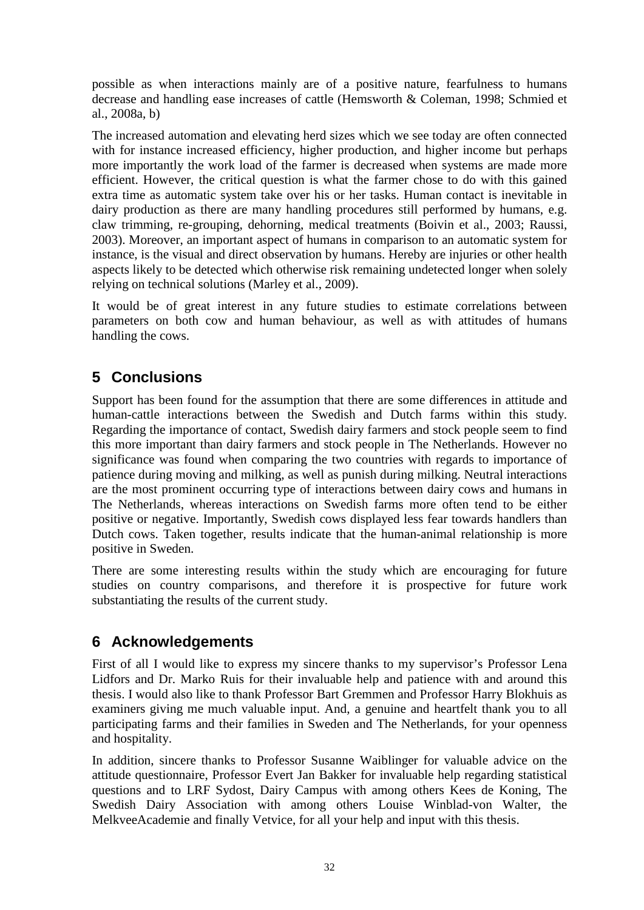possible as when interactions mainly are of a positive nature, fearfulness to humans decrease and handling ease increases of cattle (Hemsworth & Coleman, 1998; Schmied et al., 2008a, b)

The increased automation and elevating herd sizes which we see today are often connected with for instance increased efficiency, higher production, and higher income but perhaps more importantly the work load of the farmer is decreased when systems are made more efficient. However, the critical question is what the farmer chose to do with this gained extra time as automatic system take over his or her tasks. Human contact is inevitable in dairy production as there are many handling procedures still performed by humans, e.g. claw trimming, re-grouping, dehorning, medical treatments (Boivin et al., 2003; Raussi, 2003). Moreover, an important aspect of humans in comparison to an automatic system for instance, is the visual and direct observation by humans. Hereby are injuries or other health aspects likely to be detected which otherwise risk remaining undetected longer when solely relying on technical solutions (Marley et al., 2009).

It would be of great interest in any future studies to estimate correlations between parameters on both cow and human behaviour, as well as with attitudes of humans handling the cows.

### <span id="page-31-0"></span>**5 Conclusions**

Support has been found for the assumption that there are some differences in attitude and human-cattle interactions between the Swedish and Dutch farms within this study. Regarding the importance of contact, Swedish dairy farmers and stock people seem to find this more important than dairy farmers and stock people in The Netherlands. However no significance was found when comparing the two countries with regards to importance of patience during moving and milking, as well as punish during milking. Neutral interactions are the most prominent occurring type of interactions between dairy cows and humans in The Netherlands, whereas interactions on Swedish farms more often tend to be either positive or negative. Importantly, Swedish cows displayed less fear towards handlers than Dutch cows. Taken together, results indicate that the human-animal relationship is more positive in Sweden.

There are some interesting results within the study which are encouraging for future studies on country comparisons, and therefore it is prospective for future work substantiating the results of the current study.

### <span id="page-31-1"></span>**6 Acknowledgements**

First of all I would like to express my sincere thanks to my supervisor's Professor Lena Lidfors and Dr. Marko Ruis for their invaluable help and patience with and around this thesis. I would also like to thank Professor Bart Gremmen and Professor Harry Blokhuis as examiners giving me much valuable input. And, a genuine and heartfelt thank you to all participating farms and their families in Sweden and The Netherlands, for your openness and hospitality.

<span id="page-31-2"></span>In addition, sincere thanks to Professor Susanne Waiblinger for valuable advice on the attitude questionnaire, Professor Evert Jan Bakker for invaluable help regarding statistical questions and to LRF Sydost, Dairy Campus with among others Kees de Koning, The Swedish Dairy Association with among others Louise Winblad-von Walter, the MelkveeAcademie and finally Vetvice, for all your help and input with this thesis.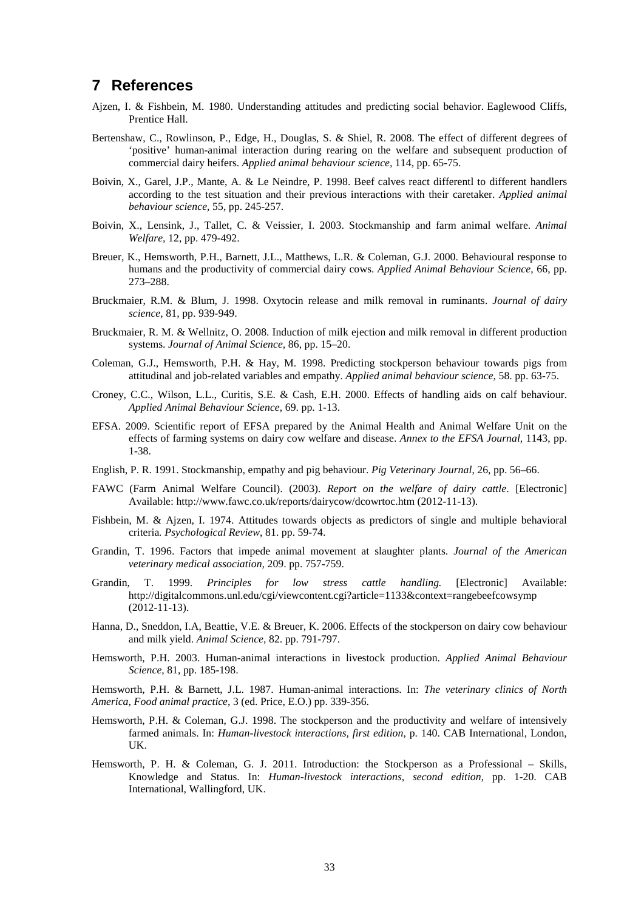#### **7 References**

- Ajzen, I. & Fishbein, M. 1980. Understanding attitudes and predicting social behavior. Eaglewood Cliffs, Prentice Hall.
- Bertenshaw, C., Rowlinson, P., Edge, H., Douglas, S. & Shiel, R. 2008. The effect of different degrees of 'positive' human-animal interaction during rearing on the welfare and subsequent production of commercial dairy heifers. *Applied animal behaviour science,* 114, pp. 65-75.
- Boivin, X., Garel, J.P., Mante, A. & Le Neindre, P. 1998. Beef calves react differentl to different handlers according to the test situation and their previous interactions with their caretaker. *Applied animal behaviour science,* 55, pp. 245-257.
- Boivin, X., Lensink, J., Tallet, C. & Veissier, I. 2003. Stockmanship and farm animal welfare. *Animal Welfare,* 12, pp. 479-492.
- Breuer, K., Hemsworth, P.H., Barnett, J.L., Matthews, L.R. & Coleman, G.J. 2000. Behavioural response to humans and the productivity of commercial dairy cows. *Applied Animal Behaviour Science*, 66, pp. 273–288.
- Bruckmaier, R.M. & Blum, J. 1998. Oxytocin release and milk removal in ruminants. *Journal of dairy science,* 81, pp. 939-949.
- Bruckmaier, R. M. & Wellnitz, O. 2008. Induction of milk ejection and milk removal in different production systems. *Journal of Animal Science,* 86, pp. 15–20.
- Coleman, G.J., Hemsworth, P.H. & Hay, M. 1998. Predicting stockperson behaviour towards pigs from attitudinal and job-related variables and empathy. *Applied animal behaviour science,* 58. pp. 63-75.
- Croney, C.C., Wilson, L.L., Curitis, S.E. & Cash, E.H. 2000. Effects of handling aids on calf behaviour. *Applied Animal Behaviour Science,* 69. pp. 1-13.
- EFSA. 2009. Scientific report of EFSA prepared by the Animal Health and Animal Welfare Unit on the effects of farming systems on dairy cow welfare and disease. *Annex to the EFSA Journal,* 1143, pp. 1-38.
- English, P. R. 1991. Stockmanship, empathy and pig behaviour. *Pig Veterinary Journal*, 26, pp. 56–66.
- FAWC (Farm Animal Welfare Council). (2003). *Report on the welfare of dairy cattle*. [Electronic] Available: http://www.fawc.co.uk/reports/dairycow/dcowrtoc.htm (2012-11-13).
- Fishbein, M. & Ajzen, I. 1974. Attitudes towards objects as predictors of single and multiple behavioral criteria*. Psychological Review*, 81. pp. 59-74.
- Grandin, T. 1996. Factors that impede animal movement at slaughter plants. *Journal of the American veterinary medical association,* 209. pp. 757-759.
- Grandin, T. 1999. *Principles for low stress cattle handling.* [Electronic] Available: http://digitalcommons.unl.edu/cgi/viewcontent.cgi?article=1133&context=rangebeefcowsymp (2012-11-13).
- Hanna, D., Sneddon, I.A, Beattie, V.E. & Breuer, K. 2006. Effects of the stockperson on dairy cow behaviour and milk yield. *Animal Science,* 82. pp. 791-797.
- Hemsworth, P.H. 2003. Human-animal interactions in livestock production. *Applied Animal Behaviour Science,* 81, pp. 185-198.

Hemsworth, P.H. & Barnett, J.L. 1987. Human-animal interactions. In: *The veterinary clinics of North America, Food animal practice*, 3 (ed. Price, E.O.) pp. 339-356.

- Hemsworth, P.H. & Coleman, G.J. 1998. The stockperson and the productivity and welfare of intensively farmed animals. In: *Human-livestock interactions, first edition*, p. 140. CAB International, London, UK.
- Hemsworth, P. H. & Coleman, G. J. 2011. Introduction: the Stockperson as a Professional Skills, Knowledge and Status. In: *Human-livestock interactions, second edition*, pp. 1-20. CAB International, Wallingford, UK.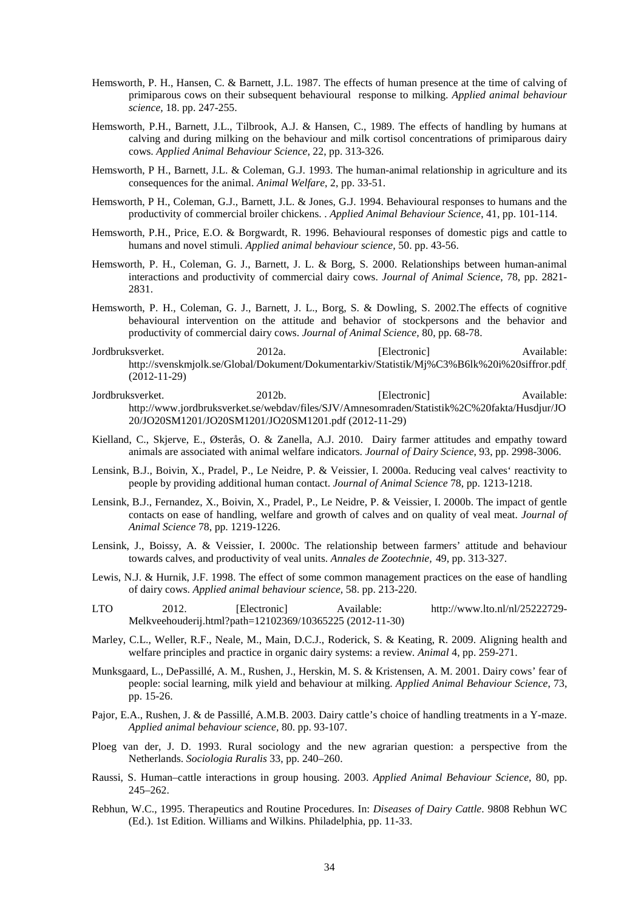- Hemsworth, P. H., Hansen, C. & Barnett, J.L. 1987. The effects of human presence at the time of calving of primiparous cows on their subsequent behavioural response to milking. *Applied animal behaviour science,* 18. pp. 247-255.
- Hemsworth, P.H., Barnett, J.L., Tilbrook, A.J. & Hansen, C., 1989. The effects of handling by humans at calving and during milking on the behaviour and milk cortisol concentrations of primiparous dairy cows. *Applied Animal Behaviour Science*, 22, pp. 313-326.
- Hemsworth, P H., Barnett, J.L. & Coleman, G.J. 1993. The human-animal relationship in agriculture and its consequences for the animal. *Animal Welfare*, 2, pp. 33-51.
- Hemsworth, P H., Coleman, G.J., Barnett, J.L. & Jones, G.J. 1994. Behavioural responses to humans and the productivity of commercial broiler chickens. . *Applied Animal Behaviour Science*, 41, pp. 101-114.
- Hemsworth, P.H., Price, E.O. & Borgwardt, R. 1996. Behavioural responses of domestic pigs and cattle to humans and novel stimuli. *Applied animal behaviour science,* 50. pp. 43-56.
- Hemsworth, P. H., Coleman, G. J., Barnett, J. L. & Borg, S. 2000. Relationships between human-animal interactions and productivity of commercial dairy cows. *Journal of Animal Science*, 78, pp. 2821- 2831.
- Hemsworth, P. H., Coleman, G. J., Barnett, J. L., Borg, S. & Dowling, S. 2002.The effects of cognitive behavioural intervention on the attitude and behavior of stockpersons and the behavior and productivity of commercial dairy cows. *Journal of Animal Science,* 80, pp. 68-78.
- Jordbruksverket. 2012a. [Electronic] Available: http://svenskmjolk.se/Global/Dokument/Dokumentarkiv/Statistik/Mj%C3%B6lk%20i%20siffror.pdf (2012-11-29)
- Jordbruksverket. 2012b. [Electronic] Available: http://www.jordbruksverket.se/webdav/files/SJV/Amnesomraden/Statistik%2C%20fakta/Husdjur/JO 20/JO20SM1201/JO20SM1201/JO20SM1201.pdf (2012-11-29)
- Kielland, C., Skjerve, E., Østerås, O. & Zanella, A.J. 2010. Dairy farmer attitudes and empathy toward animals are associated with animal welfare indicators. *Journal of Dairy Science*, 93, pp. 2998-3006.
- Lensink, B.J., Boivin, X., Pradel, P., Le Neidre, P. & Veissier, I. 2000a. Reducing veal calves' reactivity to people by providing additional human contact. *Journal of Animal Science* 78, pp. 1213-1218.
- Lensink, B.J., Fernandez, X., Boivin, X., Pradel, P., Le Neidre, P. & Veissier, I. 2000b. The impact of gentle contacts on ease of handling, welfare and growth of calves and on quality of veal meat. *Journal of Animal Science* 78, pp. 1219-1226.
- Lensink, J., Boissy, A. & Veissier, I. 2000c. The relationship between farmers' attitude and behaviour towards calves, and productivity of veal units. *Annales de Zootechnie,* 49, pp. 313-327.
- Lewis, N.J. & Hurnik, J.F. 1998. The effect of some common management practices on the ease of handling of dairy cows. *Applied animal behaviour science,* 58. pp. 213-220.
- LTO 2012. [Electronic] Available: http://www.lto.nl/nl/25222729- Melkveehouderij.html?path=12102369/10365225 (2012-11-30)
- Marley, C.L., Weller, R.F., Neale, M., Main, D.C.J., Roderick, S. & Keating, R. 2009. Aligning health and welfare principles and practice in organic dairy systems: a review*. Animal* 4, pp. 259-271.
- Munksgaard, L., DePassillé, A. M., Rushen, J., Herskin, M. S. & Kristensen, A. M. 2001. Dairy cows' fear of people: social learning, milk yield and behaviour at milking. *Applied Animal Behaviour Science*, 73, pp. 15-26.
- Pajor, E.A., Rushen, J. & de Passillé, A.M.B. 2003. Dairy cattle's choice of handling treatments in a Y-maze. *Applied animal behaviour science,* 80. pp. 93-107.
- Ploeg van der, J. D. 1993. Rural sociology and the new agrarian question: a perspective from the Netherlands. *Sociologia Ruralis* 33, pp. 240–260.
- Raussi, S. Human–cattle interactions in group housing. 2003. *Applied Animal Behaviour Science*, 80, pp. 245–262.
- Rebhun, W.C., 1995. Therapeutics and Routine Procedures. In: *Diseases of Dairy Cattle*. 9808 Rebhun WC (Ed.). 1st Edition. Williams and Wilkins. Philadelphia, pp. 11-33.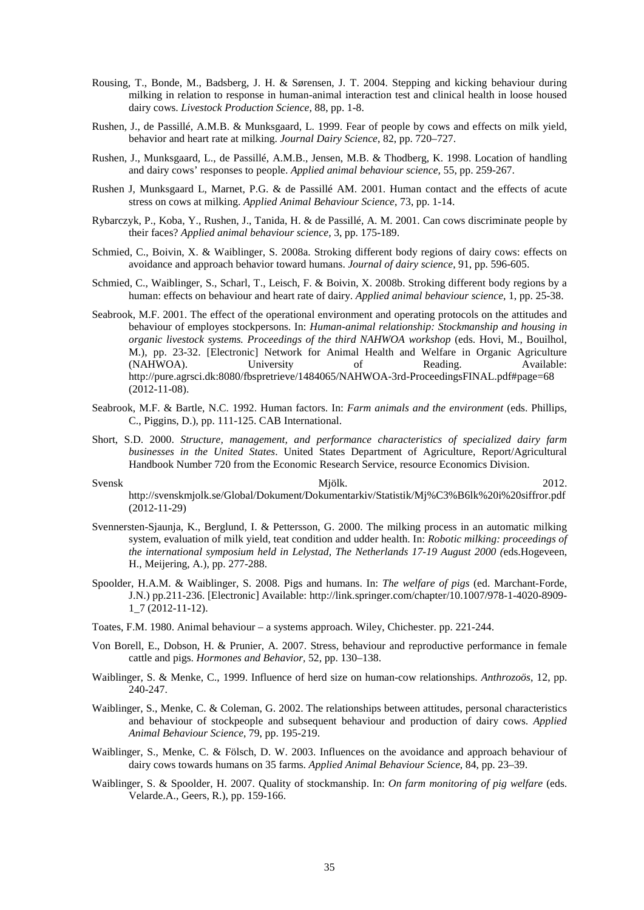- Rousing, T., Bonde, M., Badsberg, J. H. & Sørensen, J. T. 2004. Stepping and kicking behaviour during milking in relation to response in human-animal interaction test and clinical health in loose housed dairy cows. *Livestock Production Science,* 88, pp. 1-8.
- Rushen, J., de Passillé, A.M.B. & Munksgaard, L. 1999. Fear of people by cows and effects on milk yield, behavior and heart rate at milking. *Journal Dairy Science*, 82, pp. 720–727.
- Rushen, J., Munksgaard, L., de Passillé, A.M.B., Jensen, M.B. & Thodberg, K. 1998. Location of handling and dairy cows' responses to people. *Applied animal behaviour science,* 55, pp. 259-267.
- Rushen J, Munksgaard L, Marnet, P.G. & de Passillé AM. 2001. Human contact and the effects of acute stress on cows at milking. *Applied Animal Behaviour Science*, 73, pp. 1-14.
- Rybarczyk, P., Koba, Y., Rushen, J., Tanida, H. & de Passillé, A. M. 2001. Can cows discriminate people by their faces? *Applied animal behaviour science,* 3, pp. 175-189.
- Schmied, C., Boivin, X. & Waiblinger, S. 2008a. Stroking different body regions of dairy cows: effects on avoidance and approach behavior toward humans. *Journal of dairy science*, 91, pp. 596-605.
- Schmied, C., Waiblinger, S., Scharl, T., Leisch, F. & Boivin, X. 2008b. Stroking different body regions by a human: effects on behaviour and heart rate of dairy. *Applied animal behaviour science*, 1, pp. 25-38.
- Seabrook, M.F. 2001. The effect of the operational environment and operating protocols on the attitudes and behaviour of employes stockpersons. In: *Human-animal relationship: Stockmanship and housing in organic livestock systems. Proceedings of the third NAHWOA workshop* (eds. Hovi, M., Bouilhol, M.), pp. 23-32. [Electronic] Network for Animal Health and Welfare in Organic Agriculture (NAHWOA). University of Reading. Available: http://pure.agrsci.dk:8080/fbspretrieve/1484065/NAHWOA-3rd-ProceedingsFINAL.pdf#page=68 (2012-11-08).
- Seabrook, M.F. & Bartle, N.C. 1992. Human factors. In: *Farm animals and the environment* (eds. Phillips, C., Piggins, D.), pp. 111-125. CAB International.
- Short, S.D. 2000. *Structure, management, and performance characteristics of specialized dairy farm businesses in the United States*. United States Department of Agriculture, Report/Agricultural Handbook Number 720 from the Economic Research Service, resource Economics Division.

Svensk 2012. http://svenskmjolk.se/Global/Dokument/Dokumentarkiv/Statistik/Mj%C3%B6lk%20i%20siffror.pdf (2012-11-29)

- Svennersten-Sjaunja, K., Berglund, I. & Pettersson, G. 2000. The milking process in an automatic milking system, evaluation of milk yield, teat condition and udder health. In: *Robotic milking: proceedings of the international symposium held in Lelystad, The Netherlands 17-19 August 2000 (*eds.Hogeveen, H., Meijering, A.), pp. 277-288.
- Spoolder, H.A.M. & Waiblinger, S. 2008. Pigs and humans. In: *The welfare of pigs* (ed. Marchant-Forde, J.N.) pp.211-236. [Electronic] Available: http://link.springer.com/chapter/10.1007/978-1-4020-8909- 1\_7 (2012-11-12).
- Toates, F.M. 1980. Animal behaviour a systems approach. Wiley, Chichester. pp. 221-244.
- Von Borell, E., Dobson, H. & Prunier, A. 2007. Stress, behaviour and reproductive performance in female cattle and pigs. *Hormones and Behavior,* 52, pp. 130–138.
- Waiblinger, S. & Menke, C., 1999. Influence of herd size on human-cow relationships. *Anthrozoös*, 12, pp. 240-247.
- Waiblinger, S., Menke, C. & Coleman, G. 2002. The relationships between attitudes, personal characteristics and behaviour of stockpeople and subsequent behaviour and production of dairy cows. *Applied Animal Behaviour Science*, 79, pp. 195-219.
- Waiblinger, S., Menke, C. & Fölsch, D. W. 2003. Influences on the avoidance and approach behaviour of dairy cows towards humans on 35 farms. *Applied Animal Behaviour Science*, 84, pp. 23–39.
- Waiblinger, S. & Spoolder, H. 2007. Quality of stockmanship. In: *On farm monitoring of pig welfare* (eds. Velarde.A., Geers, R.), pp. 159-166.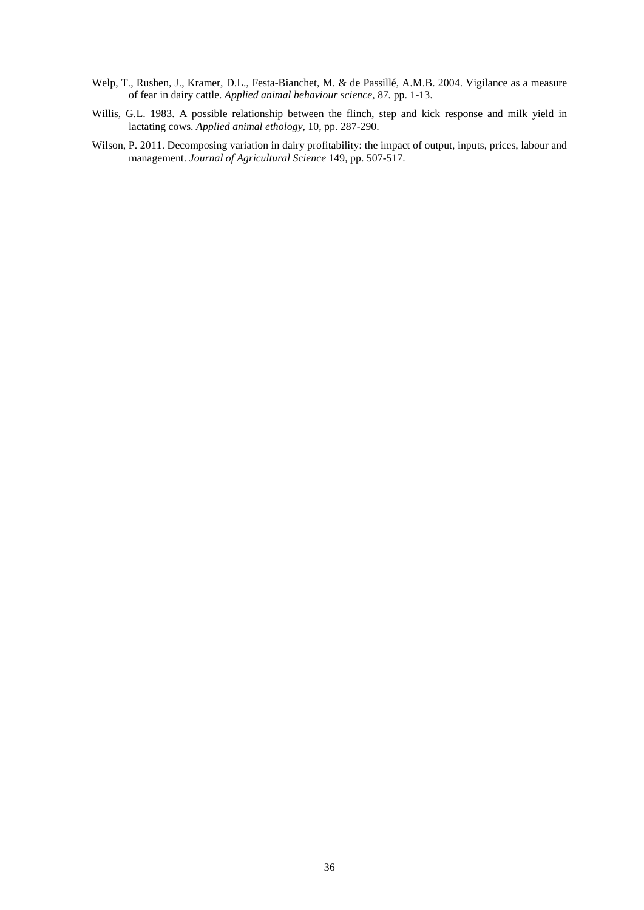- Welp, T., Rushen, J., Kramer, D.L., Festa-Bianchet, M. & de Passillé, A.M.B. 2004. Vigilance as a measure of fear in dairy cattle. *Applied animal behaviour science*, 87*.* pp. 1-13.
- Willis, G.L. 1983. A possible relationship between the flinch, step and kick response and milk yield in lactating cows. *Applied animal ethology,* 10, pp. 287-290.
- Wilson, P. 2011. Decomposing variation in dairy profitability: the impact of output, inputs, prices, labour and management. *Journal of Agricultural Science* 149, pp. 507-517.